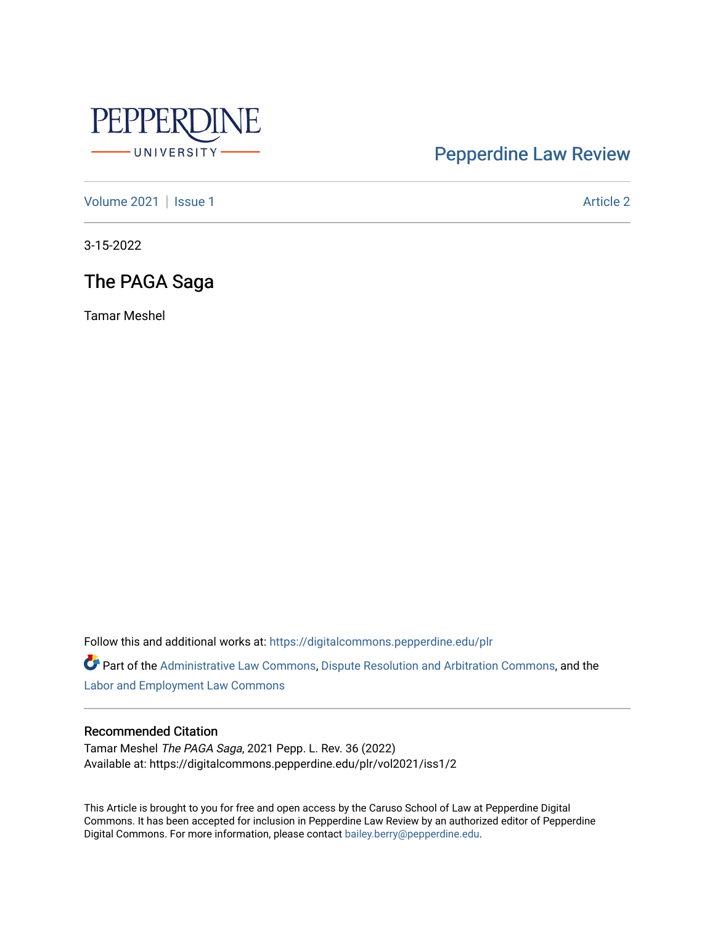

# [Pepperdine Law Review](https://digitalcommons.pepperdine.edu/plr)

[Volume 2021](https://digitalcommons.pepperdine.edu/plr/vol2021) | [Issue 1](https://digitalcommons.pepperdine.edu/plr/vol2021/iss1) Article 2

3-15-2022

# The PAGA Saga

Tamar Meshel

Follow this and additional works at: [https://digitalcommons.pepperdine.edu/plr](https://digitalcommons.pepperdine.edu/plr?utm_source=digitalcommons.pepperdine.edu%2Fplr%2Fvol2021%2Fiss1%2F2&utm_medium=PDF&utm_campaign=PDFCoverPages)

Part of the [Administrative Law Commons,](http://network.bepress.com/hgg/discipline/579?utm_source=digitalcommons.pepperdine.edu%2Fplr%2Fvol2021%2Fiss1%2F2&utm_medium=PDF&utm_campaign=PDFCoverPages) [Dispute Resolution and Arbitration Commons,](http://network.bepress.com/hgg/discipline/890?utm_source=digitalcommons.pepperdine.edu%2Fplr%2Fvol2021%2Fiss1%2F2&utm_medium=PDF&utm_campaign=PDFCoverPages) and the [Labor and Employment Law Commons](http://network.bepress.com/hgg/discipline/909?utm_source=digitalcommons.pepperdine.edu%2Fplr%2Fvol2021%2Fiss1%2F2&utm_medium=PDF&utm_campaign=PDFCoverPages)

# Recommended Citation

Tamar Meshel The PAGA Saga, 2021 Pepp. L. Rev. 36 (2022) Available at: https://digitalcommons.pepperdine.edu/plr/vol2021/iss1/2

This Article is brought to you for free and open access by the Caruso School of Law at Pepperdine Digital Commons. It has been accepted for inclusion in Pepperdine Law Review by an authorized editor of Pepperdine Digital Commons. For more information, please contact [bailey.berry@pepperdine.edu.](mailto:bailey.berry@pepperdine.edu)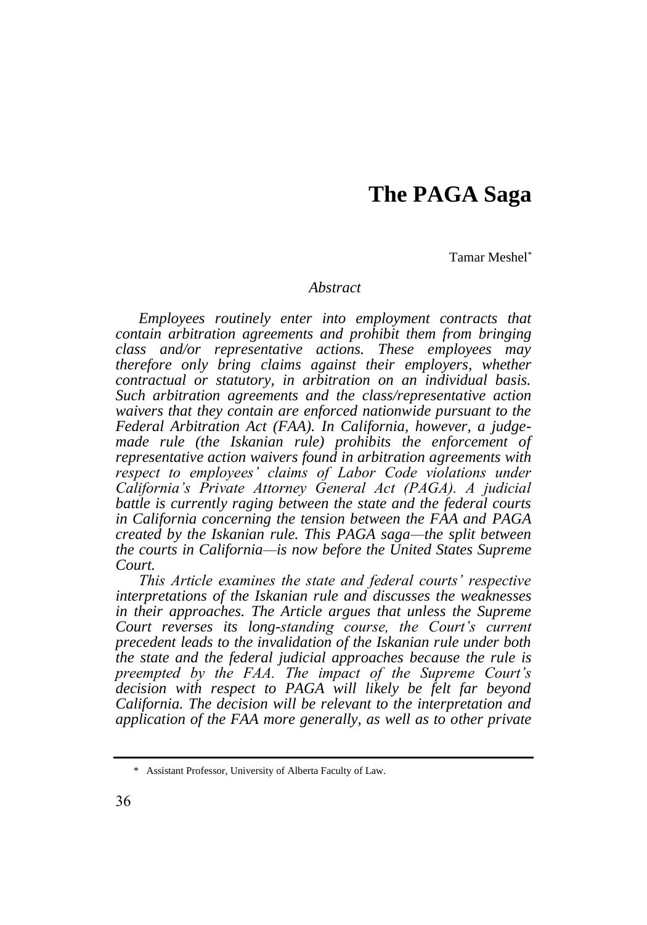# **The PAGA Saga**

Tamar Meshel\*

## *Abstract*

*Employees routinely enter into employment contracts that contain arbitration agreements and prohibit them from bringing class and/or representative actions. These employees may therefore only bring claims against their employers, whether contractual or statutory, in arbitration on an individual basis. Such arbitration agreements and the class/representative action waivers that they contain are enforced nationwide pursuant to the Federal Arbitration Act (FAA). In California, however, a judgemade rule (the Iskanian rule) prohibits the enforcement of representative action waivers found in arbitration agreements with respect to employees' claims of Labor Code violations under California's Private Attorney General Act (PAGA). A judicial battle is currently raging between the state and the federal courts in California concerning the tension between the FAA and PAGA created by the Iskanian rule. This PAGA saga—the split between the courts in California—is now before the United States Supreme Court.*

*This Article examines the state and federal courts' respective interpretations of the Iskanian rule and discusses the weaknesses in their approaches. The Article argues that unless the Supreme Court reverses its long-standing course, the Court's current precedent leads to the invalidation of the Iskanian rule under both the state and the federal judicial approaches because the rule is preempted by the FAA. The impact of the Supreme Court's decision with respect to PAGA will likely be felt far beyond California. The decision will be relevant to the interpretation and application of the FAA more generally, as well as to other private* 

<sup>\*</sup> Assistant Professor, University of Alberta Faculty of Law.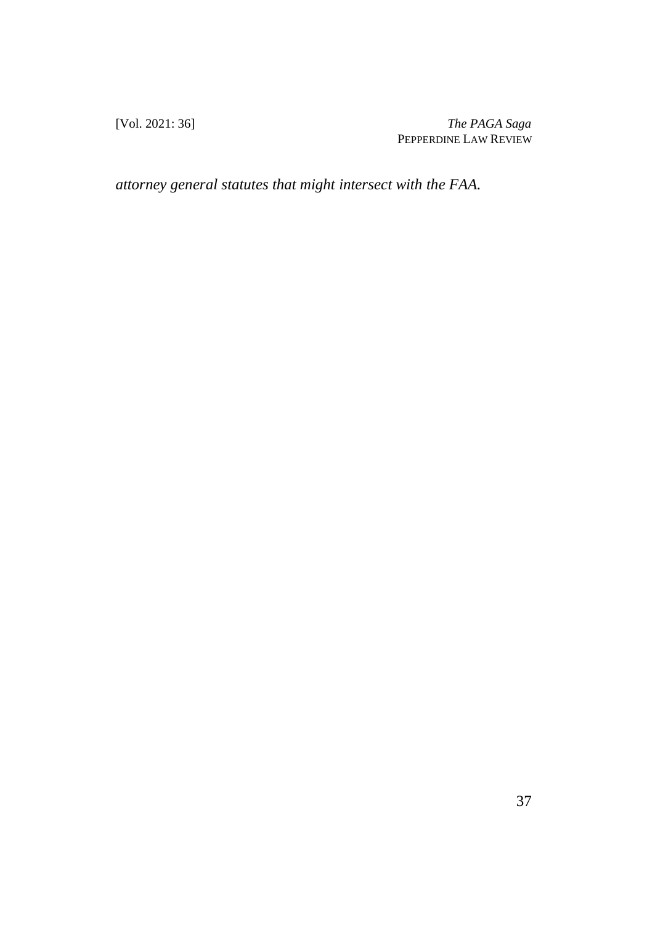[Vol. 2021: 36] *The PAGA Saga* PEPPERDINE LAW REVIEW

*attorney general statutes that might intersect with the FAA.*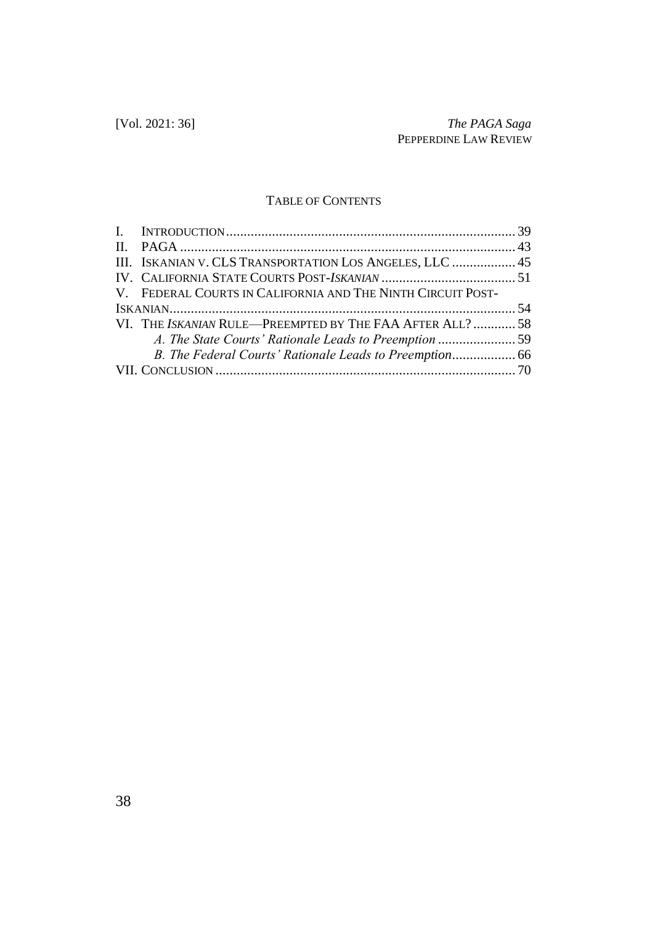# TABLE OF CONTENTS

| III. ISKANIAN V. CLS TRANSPORTATION LOS ANGELES, LLC  45    |  |
|-------------------------------------------------------------|--|
|                                                             |  |
| V. FEDERAL COURTS IN CALIFORNIA AND THE NINTH CIRCUIT POST- |  |
|                                                             |  |
| VI. THE ISKANIAN RULE-PREEMPTED BY THE FAA AFTER ALL?  58   |  |
| A. The State Courts' Rationale Leads to Preemption 59       |  |
|                                                             |  |
|                                                             |  |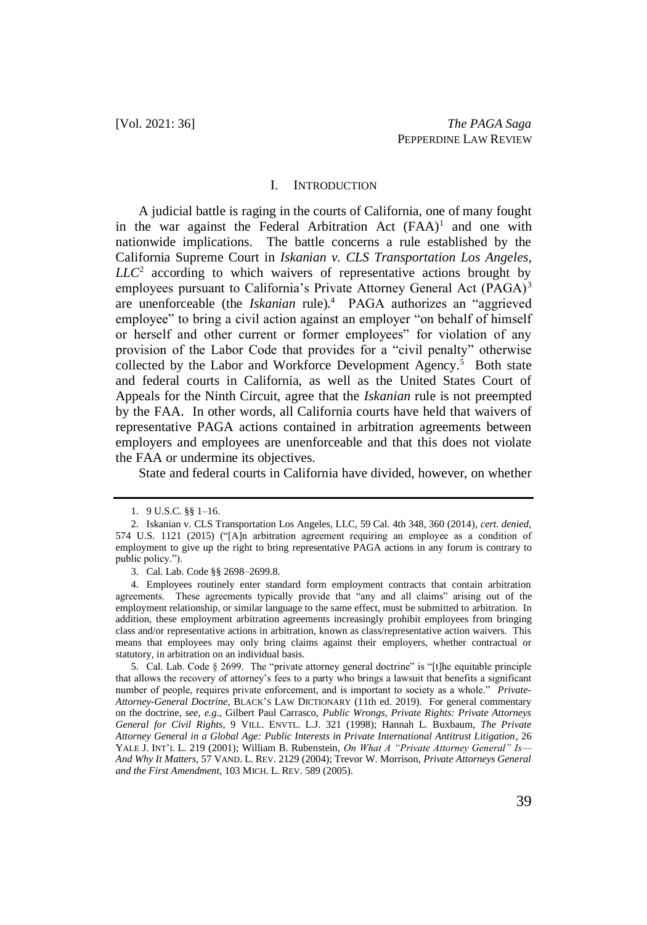#### I. INTRODUCTION

A judicial battle is raging in the courts of California, one of many fought in the war against the Federal Arbitration Act  $(FAA)^1$  and one with nationwide implications. The battle concerns a rule established by the California Supreme Court in *Iskanian v. CLS Transportation Los Angeles, LLC*<sup>2</sup> according to which waivers of representative actions brought by employees pursuant to California's Private Attorney General Act (PAGA)<sup>3</sup> are unenforceable (the *Iskanian* rule).<sup>4</sup> PAGA authorizes an "aggrieved employee" to bring a civil action against an employer "on behalf of himself or herself and other current or former employees" for violation of any provision of the Labor Code that provides for a "civil penalty" otherwise collected by the Labor and Workforce Development Agency.<sup>5</sup> Both state and federal courts in California, as well as the United States Court of Appeals for the Ninth Circuit, agree that the *Iskanian* rule is not preempted by the FAA. In other words, all California courts have held that waivers of representative PAGA actions contained in arbitration agreements between employers and employees are unenforceable and that this does not violate the FAA or undermine its objectives.

State and federal courts in California have divided, however, on whether

<sup>1.</sup> 9 U.S.C. §§ 1–16.

<sup>2.</sup> Iskanian v. CLS Transportation Los Angeles, LLC, 59 Cal. 4th 348, 360 (2014), *cert. denied*, 574 U.S. 1121 (2015) ("[A]n arbitration agreement requiring an employee as a condition of employment to give up the right to bring representative PAGA actions in any forum is contrary to public policy.").

<sup>3.</sup> Cal. Lab. Code §§ 2698–2699.8.

<sup>4.</sup> Employees routinely enter standard form employment contracts that contain arbitration agreements. These agreements typically provide that "any and all claims" arising out of the employment relationship, or similar language to the same effect, must be submitted to arbitration. In addition, these employment arbitration agreements increasingly prohibit employees from bringing class and/or representative actions in arbitration, known as class/representative action waivers. This means that employees may only bring claims against their employers, whether contractual or statutory, in arbitration on an individual basis.

<sup>5.</sup> Cal. Lab. Code § 2699. The "private attorney general doctrine" is "[t]he equitable principle that allows the recovery of attorney's fees to a party who brings a lawsuit that benefits a significant number of people, requires private enforcement, and is important to society as a whole." *Private-Attorney-General Doctrine*, BLACK'S LAW DICTIONARY (11th ed. 2019). For general commentary on the doctrine, *see, e.g*., Gilbert Paul Carrasco, *Public Wrongs, Private Rights: Private Attorneys General for Civil Rights*, 9 VILL. ENVTL. L.J. 321 (1998); Hannah L. Buxbaum, *The Private Attorney General in a Global Age: Public Interests in Private International Antitrust Litigation*, 26 YALE J. INT'L L. 219 (2001); William B. Rubenstein, *On What A "Private Attorney General" Is— And Why It Matters*, 57 VAND. L. REV. 2129 (2004); Trevor W. Morrison, *Private Attorneys General and the First Amendment*, 103 MICH. L. REV. 589 (2005).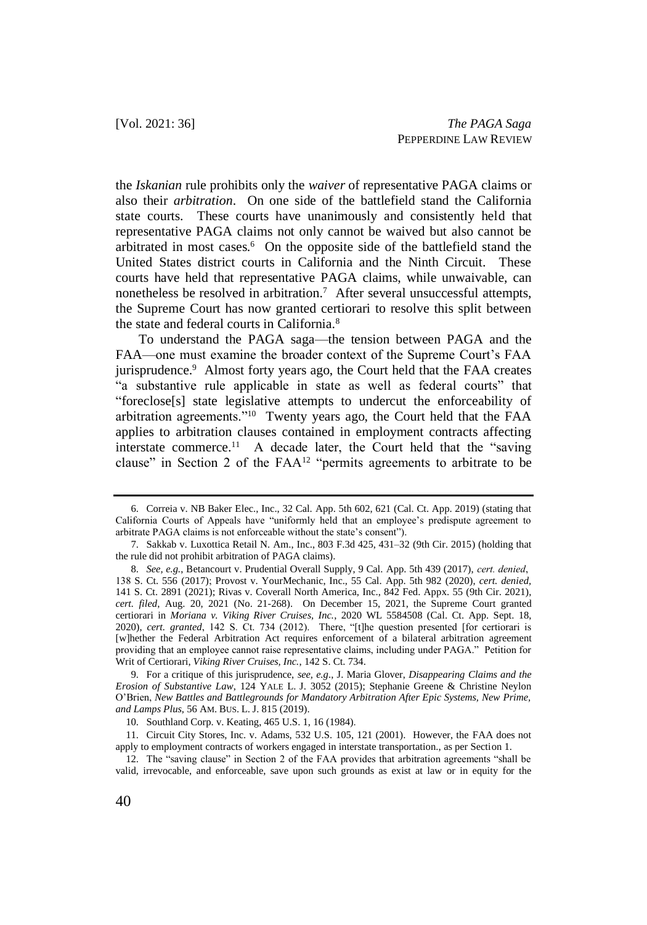the *Iskanian* rule prohibits only the *waiver* of representative PAGA claims or also their *arbitration*. On one side of the battlefield stand the California state courts. These courts have unanimously and consistently held that representative PAGA claims not only cannot be waived but also cannot be arbitrated in most cases.<sup>6</sup> On the opposite side of the battlefield stand the United States district courts in California and the Ninth Circuit. These courts have held that representative PAGA claims, while unwaivable, can nonetheless be resolved in arbitration.<sup>7</sup> After several unsuccessful attempts, the Supreme Court has now granted certiorari to resolve this split between the state and federal courts in California.<sup>8</sup>

To understand the PAGA saga—the tension between PAGA and the FAA—one must examine the broader context of the Supreme Court's FAA jurisprudence.<sup>9</sup> Almost forty years ago, the Court held that the FAA creates "a substantive rule applicable in state as well as federal courts" that "foreclose[s] state legislative attempts to undercut the enforceability of arbitration agreements."<sup>10</sup> Twenty years ago, the Court held that the FAA applies to arbitration clauses contained in employment contracts affecting interstate commerce.<sup>11</sup> A decade later, the Court held that the "saving" clause" in Section 2 of the FAA<sup>12</sup> "permits agreements to arbitrate to be

<sup>6.</sup> Correia v. NB Baker Elec., Inc., 32 Cal. App. 5th 602, 621 (Cal. Ct. App. 2019) (stating that California Courts of Appeals have "uniformly held that an employee's predispute agreement to arbitrate PAGA claims is not enforceable without the state's consent").

<sup>7.</sup> Sakkab v. Luxottica Retail N. Am., Inc., 803 F.3d 425, 431–32 (9th Cir. 2015) (holding that the rule did not prohibit arbitration of PAGA claims).

<sup>8.</sup> *See, e.g.*, Betancourt v. Prudential Overall Supply, 9 Cal. App. 5th 439 (2017), *cert. denied*, 138 S. Ct. 556 (2017); Provost v. YourMechanic, Inc., 55 Cal. App. 5th 982 (2020), *cert. denied,*  141 S. Ct. 2891 (2021); Rivas v. Coverall North America, Inc., 842 Fed. Appx. 55 (9th Cir. 2021), *cert. filed*, Aug. 20, 2021 (No. 21-268). On December 15, 2021, the Supreme Court granted certiorari in *Moriana v. Viking River Cruises, Inc.*, 2020 WL 5584508 (Cal. Ct. App. Sept. 18, 2020), *cert. granted*, 142 S. Ct. 734 (2012). There, "[t]he question presented [for certiorari is [w]hether the Federal Arbitration Act requires enforcement of a bilateral arbitration agreement providing that an employee cannot raise representative claims, including under PAGA." Petition for Writ of Certiorari, *Viking River Cruises, Inc.*, 142 S. Ct. 734.

<sup>9.</sup> For a critique of this jurisprudence, *see, e.g*., J. Maria Glover, *Disappearing Claims and the Erosion of Substantive Law*, 124 YALE L. J. 3052 (2015); Stephanie Greene & Christine Neylon O'Brien, *New Battles and Battlegrounds for Mandatory Arbitration After Epic Systems, New Prime, and Lamps Plus*, 56 AM. BUS. L. J. 815 (2019).

<sup>10.</sup> Southland Corp. v. Keating, 465 U.S. 1, 16 (1984).

<sup>11.</sup> Circuit City Stores, Inc. v. Adams, 532 U.S. 105, 121 (2001). However, the FAA does not apply to employment contracts of workers engaged in interstate transportation., as per Section 1.

<sup>12.</sup> The "saving clause" in Section 2 of the FAA provides that arbitration agreements "shall be valid, irrevocable, and enforceable, save upon such grounds as exist at law or in equity for the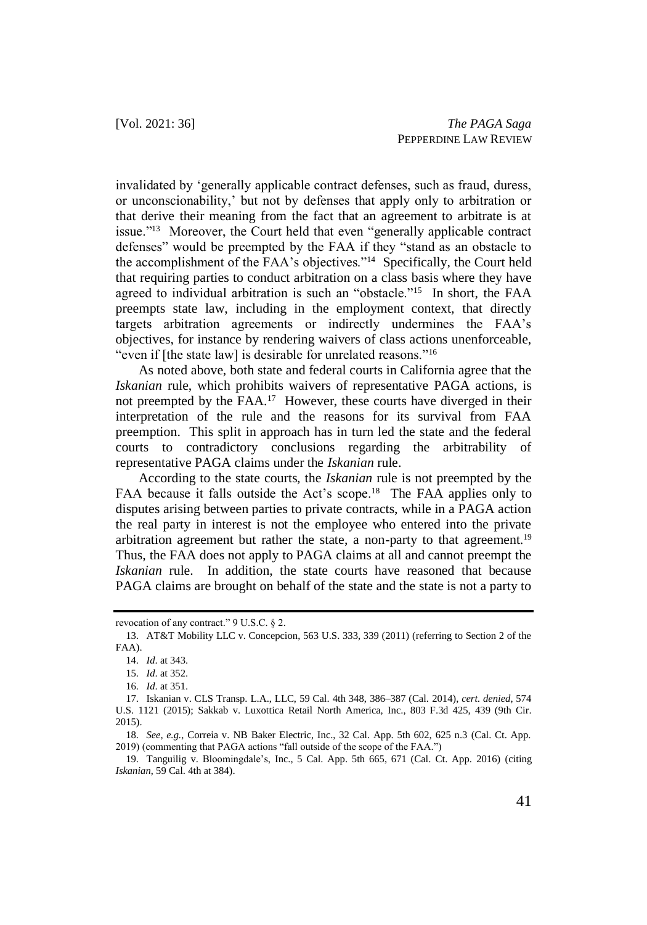invalidated by 'generally applicable contract defenses, such as fraud, duress, or unconscionability,' but not by defenses that apply only to arbitration or that derive their meaning from the fact that an agreement to arbitrate is at issue."<sup>13</sup> Moreover, the Court held that even "generally applicable contract defenses" would be preempted by the FAA if they "stand as an obstacle to the accomplishment of the FAA's objectives."<sup>14</sup> Specifically, the Court held that requiring parties to conduct arbitration on a class basis where they have agreed to individual arbitration is such an "obstacle."<sup>15</sup> In short, the FAA preempts state law, including in the employment context, that directly targets arbitration agreements or indirectly undermines the FAA's objectives, for instance by rendering waivers of class actions unenforceable, "even if [the state law] is desirable for unrelated reasons."<sup>16</sup>

As noted above, both state and federal courts in California agree that the *Iskanian* rule, which prohibits waivers of representative PAGA actions, is not preempted by the FAA.<sup>17</sup> However, these courts have diverged in their interpretation of the rule and the reasons for its survival from FAA preemption. This split in approach has in turn led the state and the federal courts to contradictory conclusions regarding the arbitrability of representative PAGA claims under the *Iskanian* rule.

According to the state courts, the *Iskanian* rule is not preempted by the FAA because it falls outside the Act's scope.<sup>18</sup> The FAA applies only to disputes arising between parties to private contracts, while in a PAGA action the real party in interest is not the employee who entered into the private arbitration agreement but rather the state, a non-party to that agreement.<sup>19</sup> Thus, the FAA does not apply to PAGA claims at all and cannot preempt the *Iskanian* rule. In addition, the state courts have reasoned that because PAGA claims are brought on behalf of the state and the state is not a party to

revocation of any contract." 9 U.S.C. § 2.

<sup>13.</sup> AT&T Mobility LLC v. Concepcion, 563 U.S. 333, 339 (2011) (referring to Section 2 of the FAA).

<sup>14.</sup> *Id*. at 343.

<sup>15.</sup> *Id*. at 352.

<sup>16.</sup> *Id*. at 351.

<sup>17.</sup> Iskanian v. CLS Transp. L.A., LLC, 59 Cal. 4th 348, 386–387 (Cal. 2014), *cert. denied*, 574 U.S. 1121 (2015); Sakkab v. Luxottica Retail North America, Inc., 803 F.3d 425, 439 (9th Cir. 2015).

<sup>18.</sup> *See, e.g.*, Correia v. NB Baker Electric, Inc., 32 Cal. App. 5th 602, 625 n.3 (Cal. Ct. App. 2019) (commenting that PAGA actions "fall outside of the scope of the FAA.")

<sup>19.</sup> Tanguilig v. Bloomingdale's, Inc., 5 Cal. App. 5th 665, 671 (Cal. Ct. App. 2016) (citing *Iskanian*, 59 Cal. 4th at 384).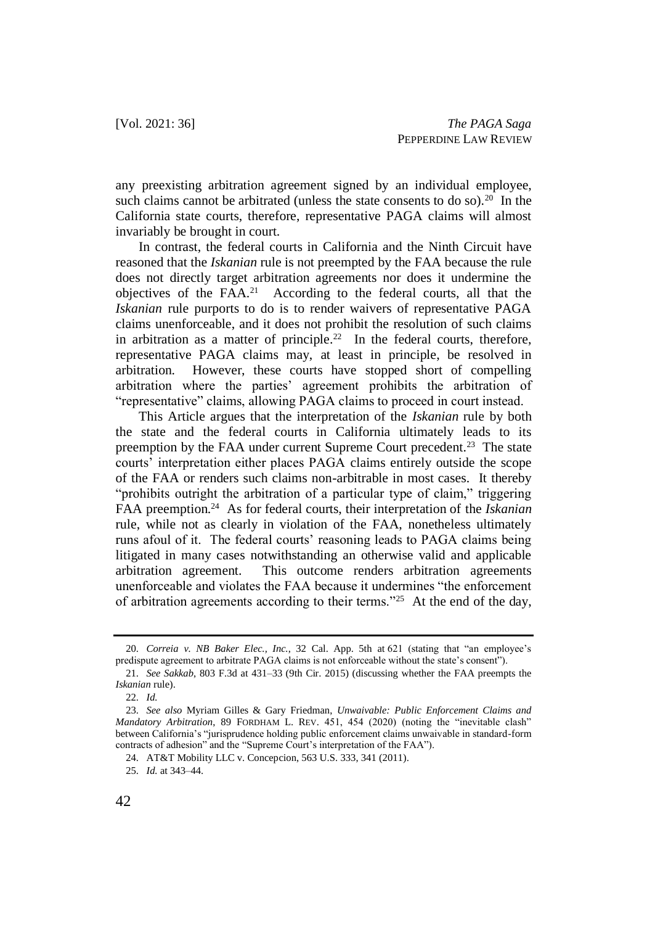any preexisting arbitration agreement signed by an individual employee, such claims cannot be arbitrated (unless the state consents to do so).<sup>20</sup> In the California state courts, therefore, representative PAGA claims will almost invariably be brought in court.

In contrast, the federal courts in California and the Ninth Circuit have reasoned that the *Iskanian* rule is not preempted by the FAA because the rule does not directly target arbitration agreements nor does it undermine the objectives of the  $FAA<sup>21</sup>$  According to the federal courts, all that the *Iskanian* rule purports to do is to render waivers of representative PAGA claims unenforceable, and it does not prohibit the resolution of such claims in arbitration as a matter of principle.<sup>22</sup> In the federal courts, therefore, representative PAGA claims may, at least in principle, be resolved in arbitration. However, these courts have stopped short of compelling arbitration where the parties' agreement prohibits the arbitration of "representative" claims, allowing PAGA claims to proceed in court instead.

This Article argues that the interpretation of the *Iskanian* rule by both the state and the federal courts in California ultimately leads to its preemption by the FAA under current Supreme Court precedent.<sup>23</sup> The state courts' interpretation either places PAGA claims entirely outside the scope of the FAA or renders such claims non-arbitrable in most cases. It thereby "prohibits outright the arbitration of a particular type of claim," triggering FAA preemption.<sup>24</sup> As for federal courts, their interpretation of the *Iskanian* rule, while not as clearly in violation of the FAA, nonetheless ultimately runs afoul of it. The federal courts' reasoning leads to PAGA claims being litigated in many cases notwithstanding an otherwise valid and applicable arbitration agreement. This outcome renders arbitration agreements unenforceable and violates the FAA because it undermines "the enforcement of arbitration agreements according to their terms."<sup>25</sup> At the end of the day,

<sup>20.</sup> *Correia v. NB Baker Elec., Inc.*, 32 Cal. App. 5th at 621 (stating that "an employee's predispute agreement to arbitrate PAGA claims is not enforceable without the state's consent").

<sup>21.</sup> *See Sakkab*, 803 F.3d at 431–33 (9th Cir. 2015) (discussing whether the FAA preempts the *Iskanian* rule).

<sup>22.</sup> *Id.*

<sup>23.</sup> *See also* Myriam Gilles & Gary Friedman, *Unwaivable: Public Enforcement Claims and Mandatory Arbitration*, 89 FORDHAM L. REV. 451, 454 (2020) (noting the "inevitable clash" between California's "jurisprudence holding public enforcement claims unwaivable in standard-form contracts of adhesion" and the "Supreme Court's interpretation of the FAA").

<sup>24.</sup> AT&T Mobility LLC v. Concepcion, 563 U.S. 333, 341 (2011).

<sup>25.</sup> *Id.* at 343–44.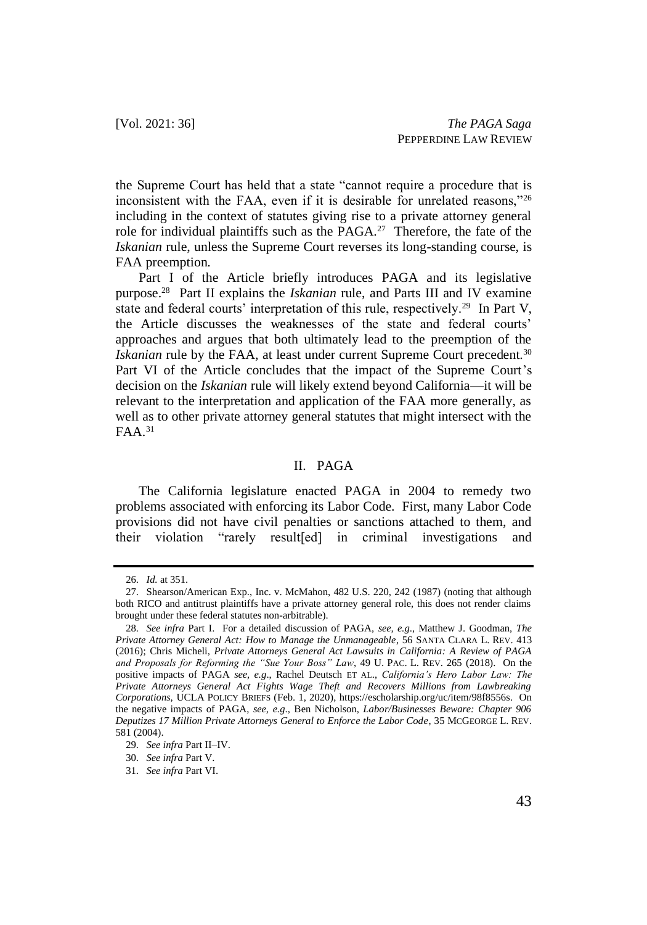the Supreme Court has held that a state "cannot require a procedure that is inconsistent with the FAA, even if it is desirable for unrelated reasons,"<sup>26</sup> including in the context of statutes giving rise to a private attorney general role for individual plaintiffs such as the  $PAGA<sup>27</sup>$  Therefore, the fate of the *Iskanian* rule, unless the Supreme Court reverses its long-standing course, is FAA preemption.

Part I of the Article briefly introduces PAGA and its legislative purpose.<sup>28</sup> Part II explains the *Iskanian* rule, and Parts III and IV examine state and federal courts' interpretation of this rule, respectively.<sup>29</sup> In Part V, the Article discusses the weaknesses of the state and federal courts' approaches and argues that both ultimately lead to the preemption of the *Iskanian* rule by the FAA, at least under current Supreme Court precedent.<sup>30</sup> Part VI of the Article concludes that the impact of the Supreme Court's decision on the *Iskanian* rule will likely extend beyond California—it will be relevant to the interpretation and application of the FAA more generally, as well as to other private attorney general statutes that might intersect with the  $FAA.<sup>31</sup>$ 

### II. PAGA

The California legislature enacted PAGA in 2004 to remedy two problems associated with enforcing its Labor Code. First, many Labor Code provisions did not have civil penalties or sanctions attached to them, and their violation "rarely result[ed] in criminal investigations and

<sup>26.</sup> *Id.* at 351.

<sup>27.</sup> Shearson/American Exp., Inc. v. McMahon, 482 U.S. 220, 242 (1987) (noting that although both RICO and antitrust plaintiffs have a private attorney general role, this does not render claims brought under these federal statutes non-arbitrable).

<sup>28.</sup> *See infra* Part I. For a detailed discussion of PAGA, *see, e.g*., Matthew J. Goodman, *The Private Attorney General Act: How to Manage the Unmanageable*, 56 SANTA CLARA L. REV. 413 (2016); Chris Micheli, *Private Attorneys General Act Lawsuits in California: A Review of PAGA and Proposals for Reforming the "Sue Your Boss" Law*, 49 U. PAC. L. REV. 265 (2018). On the positive impacts of PAGA *see, e.g*., Rachel Deutsch ET AL., *California's Hero Labor Law: The Private Attorneys General Act Fights Wage Theft and Recovers Millions from Lawbreaking Corporations*, UCLA POLICY BRIEFS (Feb. 1, 2020), https://escholarship.org/uc/item/98f8556s. On the negative impacts of PAGA, *see, e.g*., Ben Nicholson, *Labor/Businesses Beware: Chapter 906 Deputizes 17 Million Private Attorneys General to Enforce the Labor Code*, 35 MCGEORGE L. REV. 581 (2004).

<sup>29.</sup> *See infra* Part II–IV.

<sup>30.</sup> *See infra* Part V.

<sup>31.</sup> *See infra* Part VI.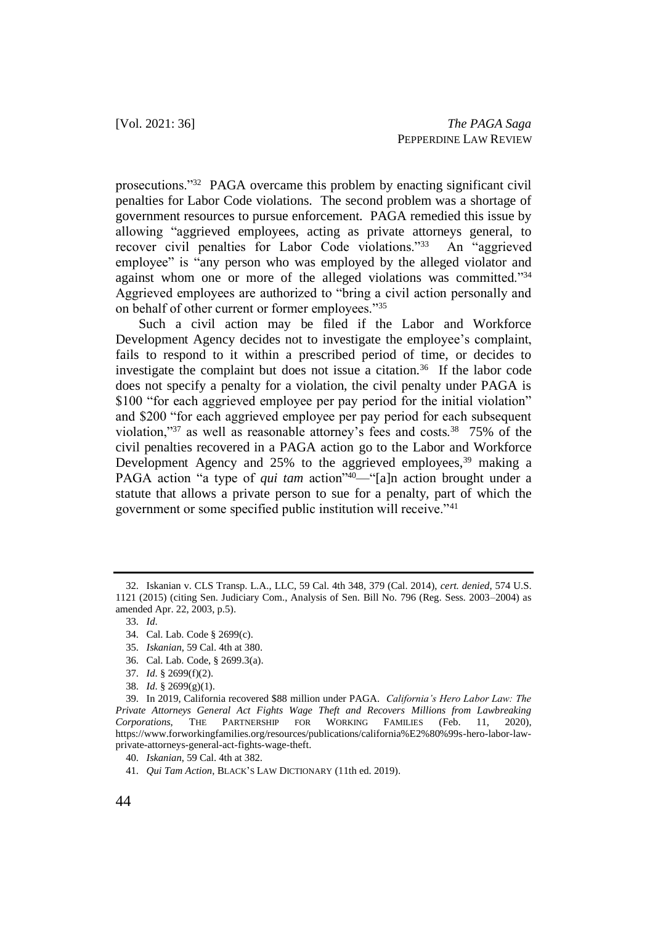prosecutions."<sup>32</sup> PAGA overcame this problem by enacting significant civil penalties for Labor Code violations. The second problem was a shortage of government resources to pursue enforcement. PAGA remedied this issue by allowing "aggrieved employees, acting as private attorneys general, to recover civil penalties for Labor Code violations."<sup>33</sup> An "aggrieved employee" is "any person who was employed by the alleged violator and against whom one or more of the alleged violations was committed."34 Aggrieved employees are authorized to "bring a civil action personally and on behalf of other current or former employees."<sup>35</sup>

Such a civil action may be filed if the Labor and Workforce Development Agency decides not to investigate the employee's complaint, fails to respond to it within a prescribed period of time, or decides to investigate the complaint but does not issue a citation.<sup>36</sup> If the labor code does not specify a penalty for a violation, the civil penalty under PAGA is \$100 "for each aggrieved employee per pay period for the initial violation" and \$200 "for each aggrieved employee per pay period for each subsequent violation," $37$  as well as reasonable attorney's fees and costs. $38$  75% of the civil penalties recovered in a PAGA action go to the Labor and Workforce Development Agency and  $25%$  to the aggrieved employees,  $39$  making a PAGA action "a type of *qui tam* action"<sup>40</sup>—"[a]n action brought under a statute that allows a private person to sue for a penalty, part of which the government or some specified public institution will receive."<sup>41</sup>

- 36. Cal. Lab. Code, § 2699.3(a).
- 37. *Id*. § 2699(f)(2).

<sup>32.</sup> Iskanian v. CLS Transp. L.A., LLC, 59 Cal. 4th 348, 379 (Cal. 2014), *cert. denied*, 574 U.S. 1121 (2015) (citing Sen. Judiciary Com., Analysis of Sen. Bill No. 796 (Reg. Sess. 2003–2004) as amended Apr. 22, 2003, p.5).

<sup>33.</sup> *Id*.

<sup>34.</sup> Cal. Lab. Code § 2699(c).

<sup>35.</sup> *Iskanian*, 59 Cal. 4th at 380.

<sup>38.</sup> *Id*. § 2699(g)(1).

<sup>39.</sup> In 2019, California recovered \$88 million under PAGA. *California's Hero Labor Law: The Private Attorneys General Act Fights Wage Theft and Recovers Millions from Lawbreaking Corporations*, THE PARTNERSHIP FOR WORKING FAMILIES (Feb. 11, 2020), [https://www.forworkingfamilies.org/resources/publications/california%E2%80%99s-hero-labor-law](https://www.forworkingfamilies.org/resources/publications/california%E2%80%99s-hero-labor-law-private-attorneys-general-act-fights-wage-theft)[private-attorneys-general-act-fights-wage-theft.](https://www.forworkingfamilies.org/resources/publications/california%E2%80%99s-hero-labor-law-private-attorneys-general-act-fights-wage-theft)

<sup>40.</sup> *Iskanian*, 59 Cal. 4th at 382.

<sup>41.</sup> *Qui Tam Action*, BLACK'S LAW DICTIONARY (11th ed. 2019).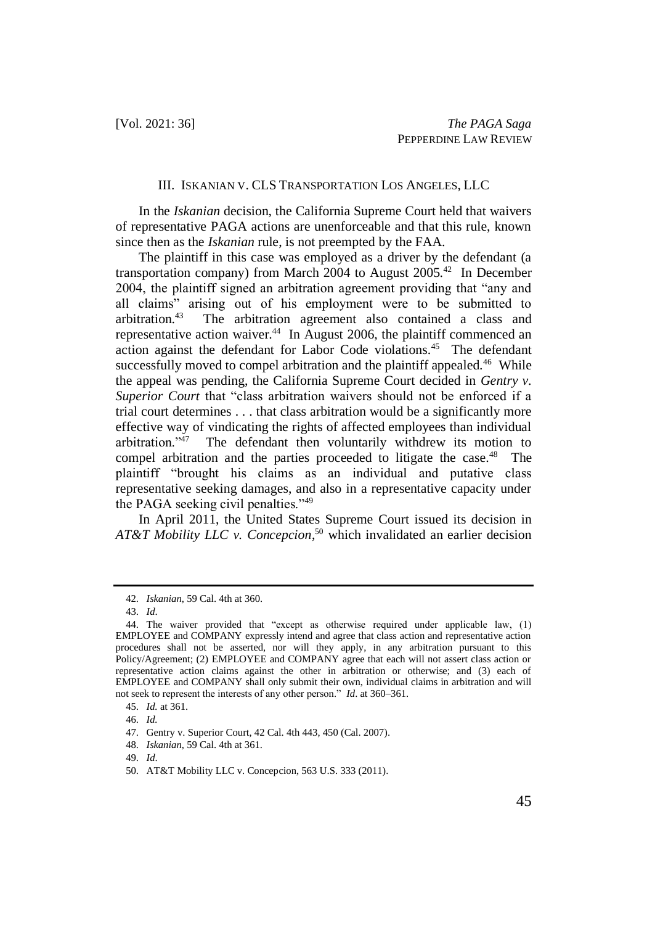#### III. ISKANIAN V. CLS TRANSPORTATION LOS ANGELES, LLC

In the *Iskanian* decision, the California Supreme Court held that waivers of representative PAGA actions are unenforceable and that this rule, known since then as the *Iskanian* rule, is not preempted by the FAA.

The plaintiff in this case was employed as a driver by the defendant (a transportation company) from March 2004 to August 2005.<sup>42</sup> In December 2004, the plaintiff signed an arbitration agreement providing that "any and all claims" arising out of his employment were to be submitted to arbitration.<sup>43</sup> The arbitration agreement also contained a class and representative action waiver.<sup>44</sup> In August 2006, the plaintiff commenced an action against the defendant for Labor Code violations.<sup>45</sup> The defendant successfully moved to compel arbitration and the plaintiff appealed.<sup>46</sup> While the appeal was pending, the California Supreme Court decided in *Gentry v. Superior Court* that "class arbitration waivers should not be enforced if a trial court determines . . . that class arbitration would be a significantly more effective way of vindicating the rights of affected employees than individual arbitration."<sup>47</sup> The defendant then voluntarily withdrew its motion to compel arbitration and the parties proceeded to litigate the case.<sup>48</sup> The plaintiff "brought his claims as an individual and putative class representative seeking damages, and also in a representative capacity under the PAGA seeking civil penalties."<sup>49</sup>

In April 2011, the United States Supreme Court issued its decision in *AT&T Mobility LLC v. Concepcion*, <sup>50</sup> which invalidated an earlier decision

<sup>42.</sup> *Iskanian*, 59 Cal. 4th at 360.

<sup>43.</sup> *Id*.

<sup>44.</sup> The waiver provided that "except as otherwise required under applicable law, (1) EMPLOYEE and COMPANY expressly intend and agree that class action and representative action procedures shall not be asserted, nor will they apply, in any arbitration pursuant to this Policy/Agreement; (2) EMPLOYEE and COMPANY agree that each will not assert class action or representative action claims against the other in arbitration or otherwise; and (3) each of EMPLOYEE and COMPANY shall only submit their own, individual claims in arbitration and will not seek to represent the interests of any other person." *Id*. at 360–361.

<sup>45.</sup> *Id.* at 361.

<sup>46.</sup> *Id.*

<sup>47.</sup> Gentry v. Superior Court, 42 Cal. 4th 443, 450 (Cal. 2007).

<sup>48.</sup> *Iskanian*, 59 Cal. 4th at 361.

<sup>49.</sup> *Id*.

<sup>50.</sup> AT&T Mobility LLC v. Concepcion, 563 U.S. 333 (2011).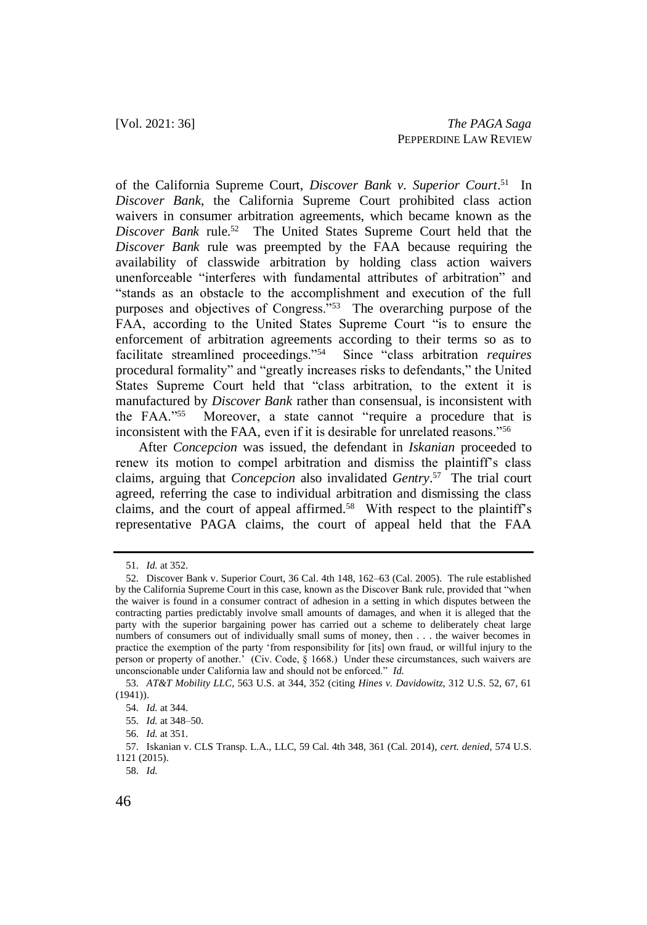of the California Supreme Court, *Discover Bank v. Superior Court*.<sup>51</sup> In *Discover Bank*, the California Supreme Court prohibited class action waivers in consumer arbitration agreements, which became known as the Discover Bank rule.<sup>52</sup> The United States Supreme Court held that the *Discover Bank* rule was preempted by the FAA because requiring the availability of classwide arbitration by holding class action waivers unenforceable "interferes with fundamental attributes of arbitration" and "stands as an obstacle to the accomplishment and execution of the full purposes and objectives of Congress."<sup>53</sup> The overarching purpose of the FAA, according to the United States Supreme Court "is to ensure the enforcement of arbitration agreements according to their terms so as to facilitate streamlined proceedings."<sup>54</sup> Since "class arbitration *requires* procedural formality" and "greatly increases risks to defendants," the United States Supreme Court held that "class arbitration, to the extent it is manufactured by *Discover Bank* rather than consensual, is inconsistent with the FAA."<sup>55</sup> Moreover, a state cannot "require a procedure that is inconsistent with the FAA, even if it is desirable for unrelated reasons."<sup>56</sup>

After *Concepcion* was issued, the defendant in *Iskanian* proceeded to renew its motion to compel arbitration and dismiss the plaintiff's class claims, arguing that *Concepcion* also invalidated *Gentry*. 57 The trial court agreed, referring the case to individual arbitration and dismissing the class claims, and the court of appeal affirmed.<sup>58</sup> With respect to the plaintiff's representative PAGA claims, the court of appeal held that the FAA

<sup>51.</sup> *Id.* at 352.

<sup>52.</sup> Discover Bank v. Superior Court, 36 Cal. 4th 148, 162–63 (Cal. 2005). The rule established by the California Supreme Court in this case, known as the Discover Bank rule, provided that "when the waiver is found in a consumer contract of adhesion in a setting in which disputes between the contracting parties predictably involve small amounts of damages, and when it is alleged that the party with the superior bargaining power has carried out a scheme to deliberately cheat large numbers of consumers out of individually small sums of money, then . . . the waiver becomes in practice the exemption of the party 'from responsibility for [its] own fraud, or willful injury to the person or property of another.' (Civ. Code, § 1668.) Under these circumstances, such waivers are unconscionable under California law and should not be enforced." *Id.*

<sup>53.</sup> *AT&T Mobility LLC*, 563 U.S. at 344, 352 (citing *Hines v. Davidowitz*, 312 U.S. 52, 67, 61 (1941)).

<sup>54.</sup> *Id.* at 344.

<sup>55.</sup> *Id.* at 348–50.

<sup>56.</sup> *Id.* at 351.

<sup>57.</sup> Iskanian v. CLS Transp. L.A., LLC, 59 Cal. 4th 348, 361 (Cal. 2014), *cert. denied*, 574 U.S. 1121 (2015).

<sup>58.</sup> *Id.*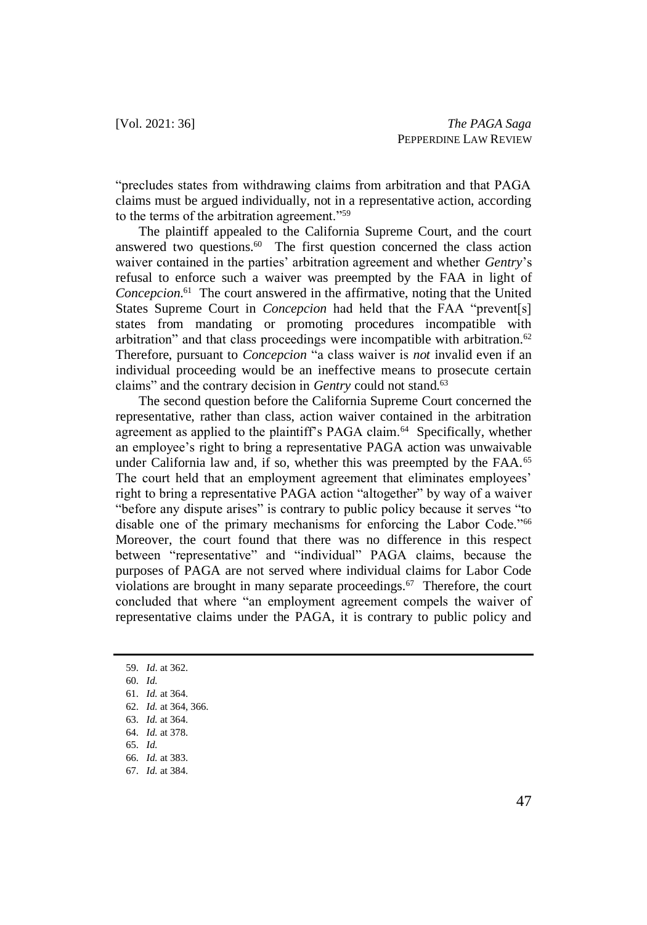"precludes states from withdrawing claims from arbitration and that PAGA claims must be argued individually, not in a representative action, according to the terms of the arbitration agreement."<sup>59</sup>

The plaintiff appealed to the California Supreme Court, and the court answered two questions.<sup>60</sup> The first question concerned the class action waiver contained in the parties' arbitration agreement and whether *Gentry*'s refusal to enforce such a waiver was preempted by the FAA in light of *Concepcion*. 61 The court answered in the affirmative, noting that the United States Supreme Court in *Concepcion* had held that the FAA "prevent[s] states from mandating or promoting procedures incompatible with arbitration" and that class proceedings were incompatible with arbitration.<sup>62</sup> Therefore, pursuant to *Concepcion* "a class waiver is *not* invalid even if an individual proceeding would be an ineffective means to prosecute certain claims" and the contrary decision in *Gentry* could not stand.<sup>63</sup>

The second question before the California Supreme Court concerned the representative, rather than class, action waiver contained in the arbitration agreement as applied to the plaintiff's PAGA claim.<sup>64</sup> Specifically, whether an employee's right to bring a representative PAGA action was unwaivable under California law and, if so, whether this was preempted by the FAA.<sup>65</sup> The court held that an employment agreement that eliminates employees' right to bring a representative PAGA action "altogether" by way of a waiver "before any dispute arises" is contrary to public policy because it serves "to disable one of the primary mechanisms for enforcing the Labor Code."<sup>66</sup> Moreover, the court found that there was no difference in this respect between "representative" and "individual" PAGA claims, because the purposes of PAGA are not served where individual claims for Labor Code violations are brought in many separate proceedings. $67$  Therefore, the court concluded that where "an employment agreement compels the waiver of representative claims under the PAGA, it is contrary to public policy and

<sup>59.</sup> *Id*. at 362.

<sup>60.</sup> *Id.*

<sup>61.</sup> *Id.* at 364.

<sup>62.</sup> *Id.* at 364, 366.

<sup>63.</sup> *Id.* at 364.

<sup>64.</sup> *Id.* at 378.

<sup>65.</sup> *Id.*

<sup>66.</sup> *Id.* at 383.

<sup>67.</sup> *Id.* at 384.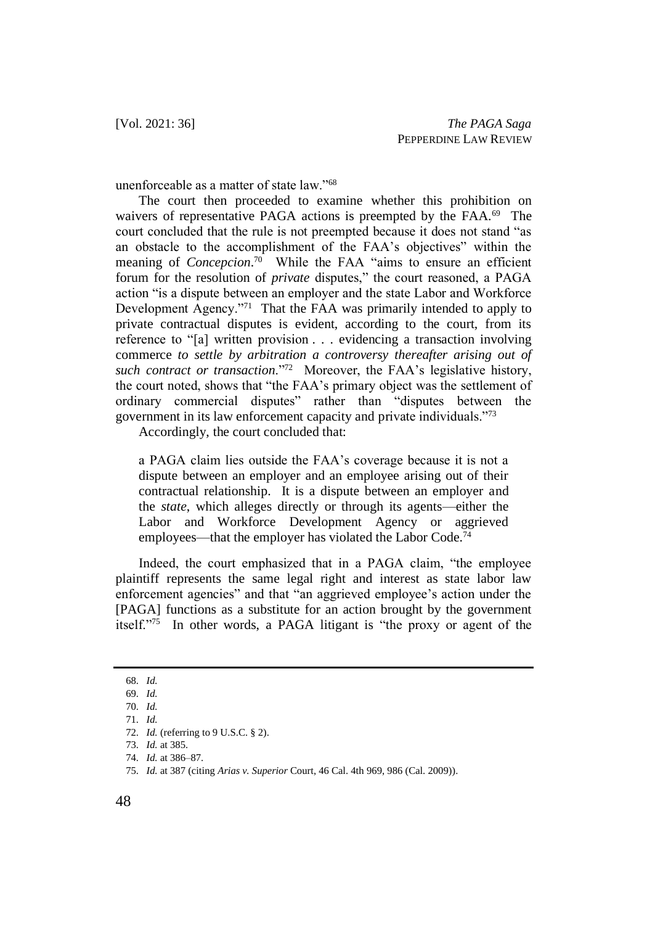unenforceable as a matter of state law."<sup>68</sup>

The court then proceeded to examine whether this prohibition on waivers of representative PAGA actions is preempted by the FAA.<sup>69</sup> The court concluded that the rule is not preempted because it does not stand "as an obstacle to the accomplishment of the FAA's objectives" within the meaning of *Concepcion*. 70 While the FAA "aims to ensure an efficient forum for the resolution of *private* disputes," the court reasoned, a PAGA action "is a dispute between an employer and the state Labor and Workforce Development Agency."<sup>71</sup> That the FAA was primarily intended to apply to private contractual disputes is evident, according to the court, from its reference to "[a] written provision . . . evidencing a transaction involving commerce *to settle by arbitration a controversy thereafter arising out of such contract or transaction*."<sup>72</sup> Moreover, the FAA's legislative history, the court noted, shows that "the FAA's primary object was the settlement of ordinary commercial disputes" rather than "disputes between the government in its law enforcement capacity and private individuals."<sup>73</sup>

Accordingly, the court concluded that:

a PAGA claim lies outside the FAA's coverage because it is not a dispute between an employer and an employee arising out of their contractual relationship. It is a dispute between an employer and the *state*, which alleges directly or through its agents—either the Labor and Workforce Development Agency or aggrieved employees—that the employer has violated the Labor Code.<sup>74</sup>

Indeed, the court emphasized that in a PAGA claim, "the employee plaintiff represents the same legal right and interest as state labor law enforcement agencies" and that "an aggrieved employee's action under the [PAGA] functions as a substitute for an action brought by the government itself."<sup>75</sup> In other words, a PAGA litigant is "the proxy or agent of the

<sup>68.</sup> *Id.*

<sup>69.</sup> *Id.*

<sup>70.</sup> *Id.*

<sup>71.</sup> *Id.*

<sup>72.</sup> *Id.* (referring to 9 U.S.C. § 2).

<sup>73.</sup> *Id.* at 385.

<sup>74.</sup> *Id.* at 386–87.

<sup>75.</sup> *Id.* at 387 (citing *Arias v. Superior* Court, 46 Cal. 4th 969, 986 (Cal. 2009)).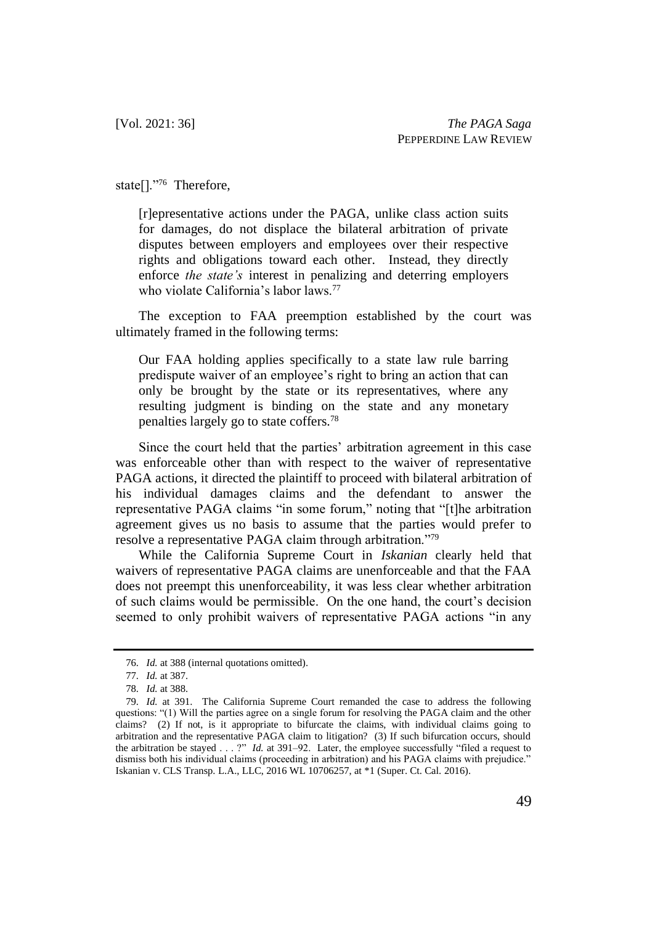state[]."<sup>76</sup> Therefore,

[r]epresentative actions under the PAGA, unlike class action suits for damages, do not displace the bilateral arbitration of private disputes between employers and employees over their respective rights and obligations toward each other. Instead, they directly enforce *the state's* interest in penalizing and deterring employers who violate California's labor laws.<sup>77</sup>

The exception to FAA preemption established by the court was ultimately framed in the following terms:

Our FAA holding applies specifically to a state law rule barring predispute waiver of an employee's right to bring an action that can only be brought by the state or its representatives, where any resulting judgment is binding on the state and any monetary penalties largely go to state coffers.<sup>78</sup>

Since the court held that the parties' arbitration agreement in this case was enforceable other than with respect to the waiver of representative PAGA actions, it directed the plaintiff to proceed with bilateral arbitration of his individual damages claims and the defendant to answer the representative PAGA claims "in some forum," noting that "[t]he arbitration agreement gives us no basis to assume that the parties would prefer to resolve a representative PAGA claim through arbitration."<sup>79</sup>

While the California Supreme Court in *Iskanian* clearly held that waivers of representative PAGA claims are unenforceable and that the FAA does not preempt this unenforceability, it was less clear whether arbitration of such claims would be permissible. On the one hand, the court's decision seemed to only prohibit waivers of representative PAGA actions "in any

<sup>76.</sup> *Id.* at 388 (internal quotations omitted).

<sup>77.</sup> *Id.* at 387.

<sup>78.</sup> *Id.* at 388.

<sup>79.</sup> *Id.* at 391. The California Supreme Court remanded the case to address the following questions: "(1) Will the parties agree on a single forum for resolving the PAGA claim and the other claims? (2) If not, is it appropriate to bifurcate the claims, with individual claims going to arbitration and the representative PAGA claim to litigation? (3) If such bifurcation occurs, should the arbitration be stayed . . . ?" *Id.* at 391–92. Later, the employee successfully "filed a request to dismiss both his individual claims (proceeding in arbitration) and his PAGA claims with prejudice." Iskanian v. CLS Transp. L.A., LLC, 2016 WL 10706257, at \*1 (Super. Ct. Cal. 2016).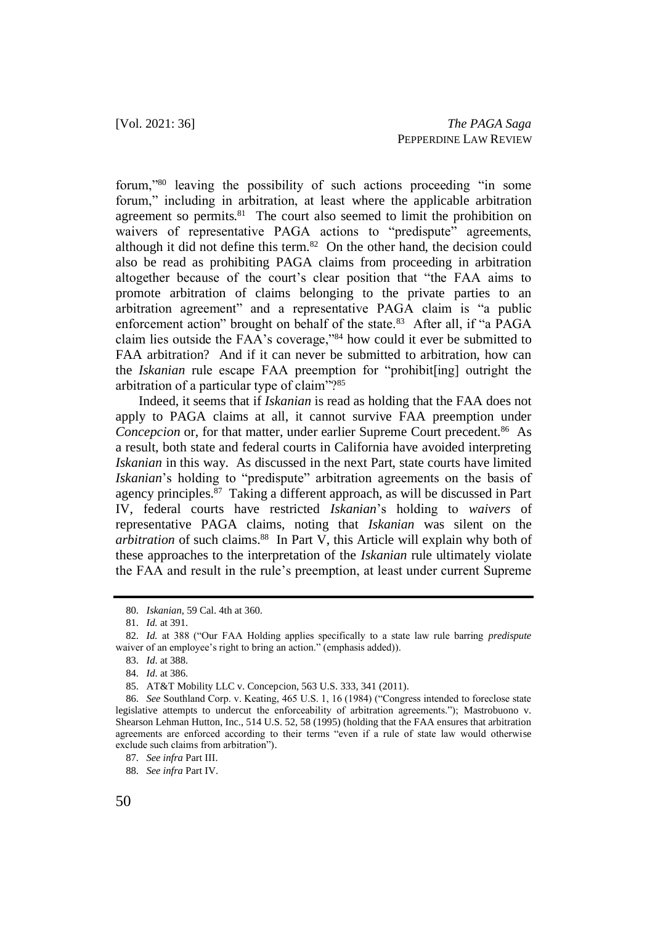forum,"<sup>80</sup> leaving the possibility of such actions proceeding "in some forum," including in arbitration, at least where the applicable arbitration agreement so permits.<sup>81</sup> The court also seemed to limit the prohibition on waivers of representative PAGA actions to "predispute" agreements, although it did not define this term. $82$  On the other hand, the decision could also be read as prohibiting PAGA claims from proceeding in arbitration altogether because of the court's clear position that "the FAA aims to promote arbitration of claims belonging to the private parties to an arbitration agreement" and a representative PAGA claim is "a public enforcement action" brought on behalf of the state.<sup>83</sup> After all, if "a PAGA claim lies outside the FAA's coverage,"<sup>84</sup> how could it ever be submitted to FAA arbitration? And if it can never be submitted to arbitration, how can the *Iskanian* rule escape FAA preemption for "prohibit[ing] outright the arbitration of a particular type of claim"?<sup>85</sup>

Indeed, it seems that if *Iskanian* is read as holding that the FAA does not apply to PAGA claims at all, it cannot survive FAA preemption under Concepcion or, for that matter, under earlier Supreme Court precedent.<sup>86</sup> As a result, both state and federal courts in California have avoided interpreting *Iskanian* in this way. As discussed in the next Part, state courts have limited *Iskanian*'s holding to "predispute" arbitration agreements on the basis of agency principles.<sup>87</sup> Taking a different approach, as will be discussed in Part IV, federal courts have restricted *Iskanian*'s holding to *waivers* of representative PAGA claims, noting that *Iskanian* was silent on the arbitration of such claims.<sup>88</sup> In Part V, this Article will explain why both of these approaches to the interpretation of the *Iskanian* rule ultimately violate the FAA and result in the rule's preemption, at least under current Supreme

<sup>80.</sup> *Iskanian*, 59 Cal. 4th at 360.

<sup>81.</sup> *Id.* at 391.

<sup>82.</sup> *Id.* at 388 ("Our FAA Holding applies specifically to a state law rule barring *predispute*  waiver of an employee's right to bring an action." (emphasis added)).

<sup>83.</sup> *Id*. at 388.

<sup>84.</sup> *Id*. at 386.

<sup>85.</sup> AT&T Mobility LLC v. Concepcion, 563 U.S. 333, 341 (2011).

<sup>86.</sup> *See* Southland Corp. v. Keating, 465 U.S. 1, 16 (1984) ("Congress intended to foreclose state legislative attempts to undercut the enforceability of arbitration agreements."); Mastrobuono v. Shearson Lehman Hutton, Inc., 514 U.S. 52, 58 (1995) (holding that the FAA ensures that arbitration agreements are enforced according to their terms "even if a rule of state law would otherwise exclude such claims from arbitration").

<sup>87.</sup> *See infra* Part III.

<sup>88.</sup> *See infra* Part IV.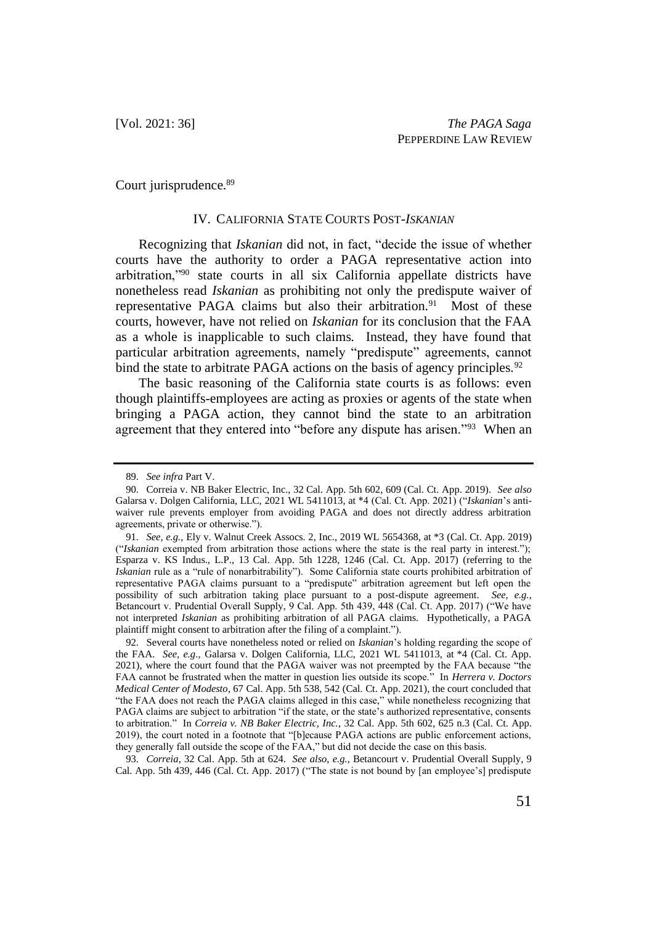Court jurisprudence.<sup>89</sup>

#### IV. CALIFORNIA STATE COURTS POST-*ISKANIAN*

Recognizing that *Iskanian* did not, in fact, "decide the issue of whether courts have the authority to order a PAGA representative action into arbitration,"<sup>90</sup> state courts in all six California appellate districts have nonetheless read *Iskanian* as prohibiting not only the predispute waiver of representative PAGA claims but also their arbitration.<sup>91</sup> Most of these courts, however, have not relied on *Iskanian* for its conclusion that the FAA as a whole is inapplicable to such claims. Instead, they have found that particular arbitration agreements, namely "predispute" agreements, cannot bind the state to arbitrate PAGA actions on the basis of agency principles.<sup>92</sup>

The basic reasoning of the California state courts is as follows: even though plaintiffs-employees are acting as proxies or agents of the state when bringing a PAGA action, they cannot bind the state to an arbitration agreement that they entered into "before any dispute has arisen."<sup>93</sup> When an

93. *Correia*, 32 Cal. App. 5th at 624. *See also*, *e.g.*, Betancourt v. Prudential Overall Supply, 9 Cal. App. 5th 439, 446 (Cal. Ct. App. 2017) ("The state is not bound by [an employee's] predispute

<sup>89.</sup> *See infra* Part V.

<sup>90.</sup> Correia v. NB Baker Electric, Inc., 32 Cal. App. 5th 602, 609 (Cal. Ct. App. 2019). *See also* Galarsa v. Dolgen California, LLC, 2021 WL 5411013, at \*4 (Cal. Ct. App. 2021) ("*Iskanian*'s antiwaiver rule prevents employer from avoiding PAGA and does not directly address arbitration agreements, private or otherwise.").

<sup>91.</sup> *See, e.g.*, Ely v. Walnut Creek Assocs. 2, Inc., 2019 WL 5654368, at \*3 (Cal. Ct. App. 2019) ("*Iskanian* exempted from arbitration those actions where the state is the real party in interest."); Esparza v. KS Indus., L.P., 13 Cal. App. 5th 1228, 1246 (Cal. Ct. App. 2017) (referring to the *Iskanian* rule as a "rule of nonarbitrability"). Some California state courts prohibited arbitration of representative PAGA claims pursuant to a "predispute" arbitration agreement but left open the possibility of such arbitration taking place pursuant to a post-dispute agreement. *See, e.g.*, Betancourt v. Prudential Overall Supply, 9 Cal. App. 5th 439, 448 (Cal. Ct. App. 2017) ("We have not interpreted *Iskanian* as prohibiting arbitration of all PAGA claims. Hypothetically, a PAGA plaintiff might consent to arbitration after the filing of a complaint.").

<sup>92.</sup> Several courts have nonetheless noted or relied on *Iskanian*'s holding regarding the scope of the FAA. *See, e.g*., Galarsa v. Dolgen California, LLC, 2021 WL 5411013, at \*4 (Cal. Ct. App. 2021), where the court found that the PAGA waiver was not preempted by the FAA because "the FAA cannot be frustrated when the matter in question lies outside its scope." In *Herrera v. Doctors Medical Center of Modesto*, 67 Cal. App. 5th 538, 542 (Cal. Ct. App. 2021), the court concluded that "the FAA does not reach the PAGA claims alleged in this case," while nonetheless recognizing that PAGA claims are subject to arbitration "if the state, or the state's authorized representative, consents to arbitration." In *Correia v. NB Baker Electric, Inc.*, 32 Cal. App. 5th 602, 625 n.3 (Cal. Ct. App. 2019), the court noted in a footnote that "[b]ecause PAGA actions are public enforcement actions, they generally fall outside the scope of the FAA," but did not decide the case on this basis.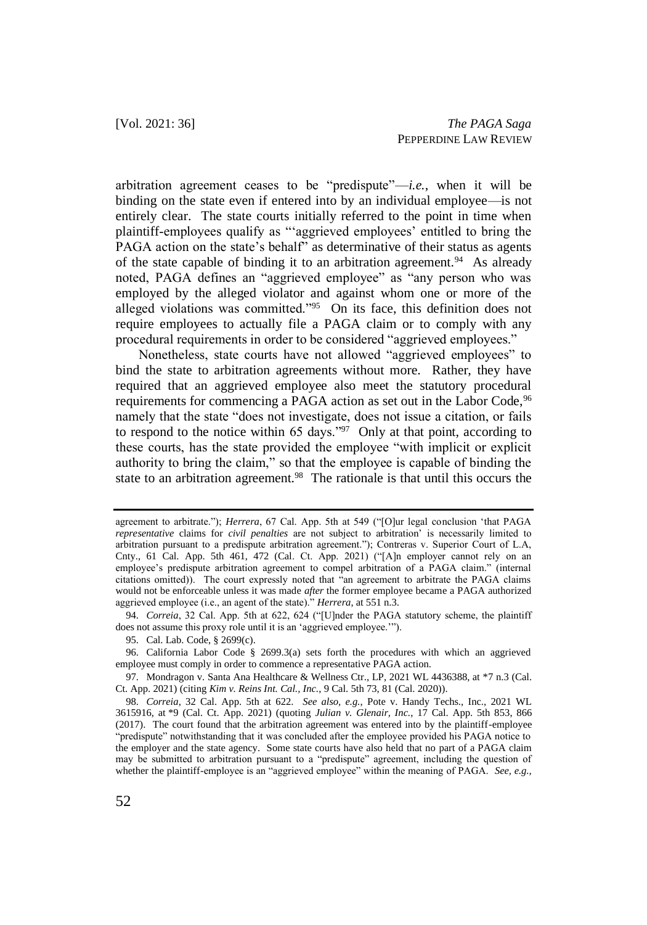arbitration agreement ceases to be "predispute"—*i.e.*, when it will be binding on the state even if entered into by an individual employee—is not entirely clear. The state courts initially referred to the point in time when plaintiff-employees qualify as "'aggrieved employees' entitled to bring the PAGA action on the state's behalf" as determinative of their status as agents of the state capable of binding it to an arbitration agreement.<sup>94</sup> As already noted, PAGA defines an "aggrieved employee" as "any person who was employed by the alleged violator and against whom one or more of the alleged violations was committed."<sup>95</sup> On its face, this definition does not require employees to actually file a PAGA claim or to comply with any procedural requirements in order to be considered "aggrieved employees."

Nonetheless, state courts have not allowed "aggrieved employees" to bind the state to arbitration agreements without more. Rather, they have required that an aggrieved employee also meet the statutory procedural requirements for commencing a PAGA action as set out in the Labor Code, <sup>96</sup> namely that the state "does not investigate, does not issue a citation, or fails to respond to the notice within 65 days." $97$  Only at that point, according to these courts, has the state provided the employee "with implicit or explicit authority to bring the claim," so that the employee is capable of binding the state to an arbitration agreement.<sup>98</sup> The rationale is that until this occurs the

94. *Correia*, 32 Cal. App. 5th at 622, 624 ("[U]nder the PAGA statutory scheme, the plaintiff does not assume this proxy role until it is an 'aggrieved employee.'").

agreement to arbitrate."); *Herrera*, 67 Cal. App. 5th at 549 ("[O]ur legal conclusion 'that PAGA *representative* claims for *civil penalties* are not subject to arbitration' is necessarily limited to arbitration pursuant to a predispute arbitration agreement."); Contreras v. Superior Court of L.A, Cnty., 61 Cal. App. 5th 461, 472 (Cal. Ct. App. 2021) ("[A]n employer cannot rely on an employee's predispute arbitration agreement to compel arbitration of a PAGA claim." (internal citations omitted)). The court expressly noted that "an agreement to arbitrate the PAGA claims would not be enforceable unless it was made *after* the former employee became a PAGA authorized aggrieved employee (i.e., an agent of the state)." *Herrera*, at 551 n.3.

<sup>95.</sup> Cal. Lab. Code, § 2699(c).

<sup>96.</sup> California Labor Code § 2699.3(a) sets forth the procedures with which an aggrieved employee must comply in order to commence a representative PAGA action.

<sup>97.</sup> Mondragon v. Santa Ana Healthcare & Wellness Ctr., LP, 2021 WL 4436388, at \*7 n.3 (Cal. Ct. App. 2021) (citing *Kim v. Reins Int. Cal., Inc.*, 9 Cal. 5th 73, 81 (Cal. 2020)).

<sup>98.</sup> *Correia*, 32 Cal. App. 5th at 622. *See also, e.g.*, Pote v. Handy Techs., Inc., 2021 WL 3615916, at \*9 (Cal. Ct. App. 2021) (quoting *Julian v. Glenair, Inc.*, 17 Cal. App. 5th 853, 866 (2017). The court found that the arbitration agreement was entered into by the plaintiff-employee "predispute" notwithstanding that it was concluded after the employee provided his PAGA notice to the employer and the state agency. Some state courts have also held that no part of a PAGA claim may be submitted to arbitration pursuant to a "predispute" agreement, including the question of whether the plaintiff-employee is an "aggrieved employee" within the meaning of PAGA. *See, e.g.,*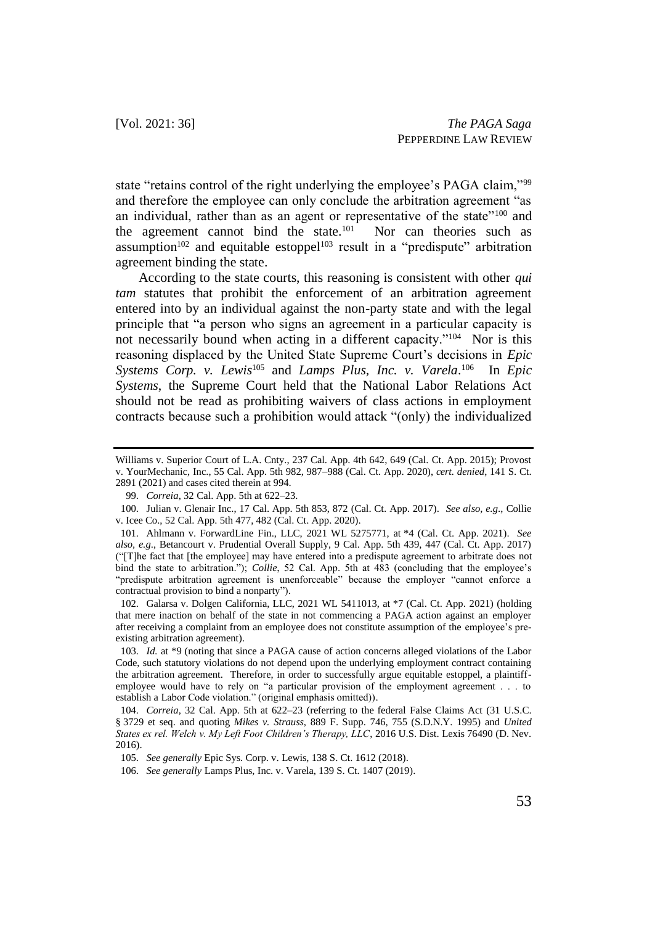state "retains control of the right underlying the employee's PAGA claim,"<sup>99</sup> and therefore the employee can only conclude the arbitration agreement "as an individual, rather than as an agent or representative of the state"<sup>100</sup> and the agreement cannot bind the state.<sup>101</sup> Nor can theories such as assumption<sup>102</sup> and equitable estoppel<sup>103</sup> result in a "predispute" arbitration agreement binding the state.

According to the state courts, this reasoning is consistent with other *qui tam* statutes that prohibit the enforcement of an arbitration agreement entered into by an individual against the non-party state and with the legal principle that "a person who signs an agreement in a particular capacity is not necessarily bound when acting in a different capacity."<sup>104</sup> Nor is this reasoning displaced by the United State Supreme Court's decisions in *Epic Systems Corp. v. Lewis*<sup>105</sup> and *Lamps Plus, Inc. v. Varela*. 106 In *Epic Systems*, the Supreme Court held that the National Labor Relations Act should not be read as prohibiting waivers of class actions in employment contracts because such a prohibition would attack "(only) the individualized

Williams v. Superior Court of L.A. Cnty., 237 Cal. App. 4th 642, 649 (Cal. Ct. App. 2015); Provost v. YourMechanic, Inc., 55 Cal. App. 5th 982, 987–988 (Cal. Ct. App. 2020), *cert. denied*, 141 S. Ct. 2891 (2021) and cases cited therein at 994.

<sup>99.</sup> *Correia*, 32 Cal. App. 5th at 622–23.

<sup>100.</sup> Julian v. Glenair Inc., 17 Cal. App. 5th 853, 872 (Cal. Ct. App. 2017). *See also, e.g*., Collie v. Icee Co., 52 Cal. App. 5th 477, 482 (Cal. Ct. App. 2020).

<sup>101.</sup> Ahlmann v. ForwardLine Fin., LLC, 2021 WL 5275771, at \*4 (Cal. Ct. App. 2021). *See also, e.g*., Betancourt v. Prudential Overall Supply, 9 Cal. App. 5th 439, 447 (Cal. Ct. App. 2017) ("[T]he fact that [the employee] may have entered into a predispute agreement to arbitrate does not bind the state to arbitration."); *Collie*, 52 Cal. App. 5th at 483 (concluding that the employee's "predispute arbitration agreement is unenforceable" because the employer "cannot enforce a contractual provision to bind a nonparty").

<sup>102.</sup> Galarsa v. Dolgen California, LLC, 2021 WL 5411013, at \*7 (Cal. Ct. App. 2021) (holding that mere inaction on behalf of the state in not commencing a PAGA action against an employer after receiving a complaint from an employee does not constitute assumption of the employee's preexisting arbitration agreement).

<sup>103.</sup> *Id.* at \*9 (noting that since a PAGA cause of action concerns alleged violations of the Labor Code, such statutory violations do not depend upon the underlying employment contract containing the arbitration agreement. Therefore, in order to successfully argue equitable estoppel, a plaintiffemployee would have to rely on "a particular provision of the employment agreement . . . to establish a Labor Code violation." (original emphasis omitted)).

<sup>104.</sup> *Correia*, 32 Cal. App. 5th at 622–23 (referring to the federal False Claims Act (31 U.S.C. § 3729 et seq. and quoting *Mikes v. Strauss*, 889 F. Supp. 746, 755 (S.D.N.Y. 1995) and *United States ex rel. Welch v. My Left Foot Children's Therapy, LLC*, 2016 U.S. Dist. Lexis 76490 (D. Nev. 2016).

<sup>105.</sup> *See generally* Epic Sys. Corp. v. Lewis, 138 S. Ct. 1612 (2018).

<sup>106.</sup> *See generally* Lamps Plus, Inc. v. Varela, 139 S. Ct. 1407 (2019).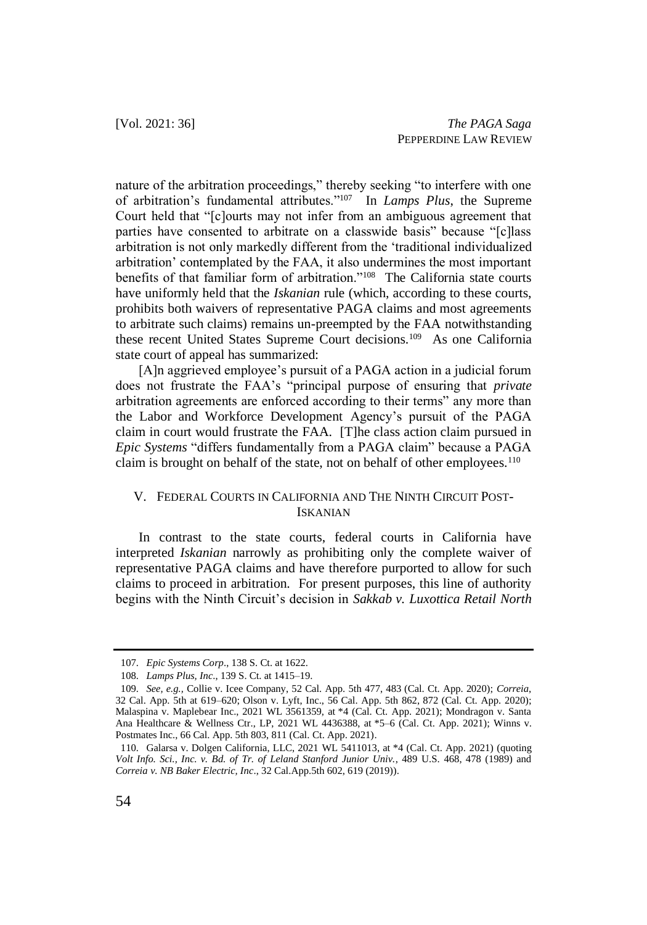nature of the arbitration proceedings," thereby seeking "to interfere with one of arbitration's fundamental attributes." 107 In *Lamps Plus*, the Supreme Court held that "[c]ourts may not infer from an ambiguous agreement that parties have consented to arbitrate on a classwide basis" because "[c]lass arbitration is not only markedly different from the 'traditional individualized arbitration' contemplated by the FAA, it also undermines the most important benefits of that familiar form of arbitration."<sup>108</sup> The California state courts have uniformly held that the *Iskanian* rule (which, according to these courts, prohibits both waivers of representative PAGA claims and most agreements to arbitrate such claims) remains un-preempted by the FAA notwithstanding these recent United States Supreme Court decisions.<sup>109</sup> As one California state court of appeal has summarized:

[A]n aggrieved employee's pursuit of a PAGA action in a judicial forum does not frustrate the FAA's "principal purpose of ensuring that *private* arbitration agreements are enforced according to their terms" any more than the Labor and Workforce Development Agency's pursuit of the PAGA claim in court would frustrate the FAA. [T]he class action claim pursued in *Epic Systems* "differs fundamentally from a PAGA claim" because a PAGA claim is brought on behalf of the state, not on behalf of other employees.<sup>110</sup>

## V. FEDERAL COURTS IN CALIFORNIA AND THE NINTH CIRCUIT POST-ISKANIAN

In contrast to the state courts, federal courts in California have interpreted *Iskanian* narrowly as prohibiting only the complete waiver of representative PAGA claims and have therefore purported to allow for such claims to proceed in arbitration. For present purposes, this line of authority begins with the Ninth Circuit's decision in *Sakkab v. Luxottica Retail North* 

<sup>107.</sup> *Epic Systems Corp*., 138 S. Ct. at 1622.

<sup>108.</sup> *Lamps Plus, Inc*., 139 S. Ct. at 1415–19.

<sup>109.</sup> *See, e.g.,* Collie v. Icee Company, 52 Cal. App. 5th 477, 483 (Cal. Ct. App. 2020); *Correia*, 32 Cal. App. 5th at 619–620; Olson v. Lyft, Inc., 56 Cal. App. 5th 862, 872 (Cal. Ct. App. 2020); Malaspina v. Maplebear Inc., 2021 WL 3561359, at \*4 (Cal. Ct. App. 2021); Mondragon v. Santa Ana Healthcare & Wellness Ctr., LP, 2021 WL 4436388, at \*5–6 (Cal. Ct. App. 2021); Winns v. Postmates Inc., 66 Cal. App. 5th 803, 811 (Cal. Ct. App. 2021).

<sup>110.</sup> Galarsa v. Dolgen California, LLC, 2021 WL 5411013, at \*4 (Cal. Ct. App. 2021) (quoting *Volt Info. Sci., Inc. v. Bd. of Tr. of Leland Stanford Junior Univ.*, 489 U.S. 468, 478 (1989) and *Correia v. NB Baker Electric, Inc*., 32 Cal.App.5th 602, 619 (2019)).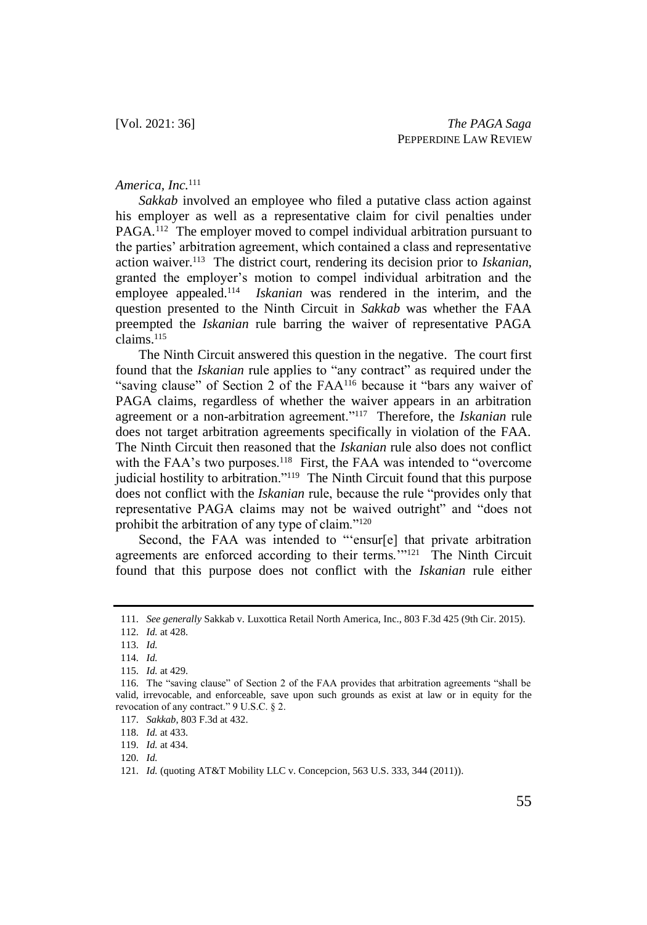### *America, Inc.* 111

*Sakkab* involved an employee who filed a putative class action against his employer as well as a representative claim for civil penalties under PAGA.<sup>112</sup> The employer moved to compel individual arbitration pursuant to the parties' arbitration agreement, which contained a class and representative action waiver.<sup>113</sup> The district court, rendering its decision prior to *Iskanian*, granted the employer's motion to compel individual arbitration and the employee appealed.<sup>114</sup> *Iskanian* was rendered in the interim, and the question presented to the Ninth Circuit in *Sakkab* was whether the FAA preempted the *Iskanian* rule barring the waiver of representative PAGA claims.<sup>115</sup>

The Ninth Circuit answered this question in the negative. The court first found that the *Iskanian* rule applies to "any contract" as required under the "saving clause" of Section 2 of the FAA<sup>116</sup> because it "bars any waiver of PAGA claims, regardless of whether the waiver appears in an arbitration agreement or a non-arbitration agreement."<sup>117</sup> Therefore, the *Iskanian* rule does not target arbitration agreements specifically in violation of the FAA. The Ninth Circuit then reasoned that the *Iskanian* rule also does not conflict with the FAA's two purposes.<sup>118</sup> First, the FAA was intended to "overcome" judicial hostility to arbitration."<sup>119</sup> The Ninth Circuit found that this purpose does not conflict with the *Iskanian* rule, because the rule "provides only that representative PAGA claims may not be waived outright" and "does not prohibit the arbitration of any type of claim."<sup>120</sup>

Second, the FAA was intended to "'ensur[e] that private arbitration agreements are enforced according to their terms."<sup>121</sup> The Ninth Circuit found that this purpose does not conflict with the *Iskanian* rule either

<sup>111.</sup> *See generally* Sakkab v. Luxottica Retail North America, Inc., 803 F.3d 425 (9th Cir. 2015).

<sup>112.</sup> *Id.* at 428.

<sup>113.</sup> *Id.*

<sup>114.</sup> *Id.*

<sup>115.</sup> *Id.* at 429.

<sup>116.</sup> The "saving clause" of Section 2 of the FAA provides that arbitration agreements "shall be valid, irrevocable, and enforceable, save upon such grounds as exist at law or in equity for the revocation of any contract." 9 U.S.C. § 2.

<sup>117.</sup> *Sakkab*, 803 F.3d at 432.

<sup>118.</sup> *Id.* at 433.

<sup>119.</sup> *Id.* at 434.

<sup>120.</sup> *Id.*

<sup>121.</sup> *Id.* (quoting AT&T Mobility LLC v. Concepcion, 563 U.S. 333, 344 (2011)).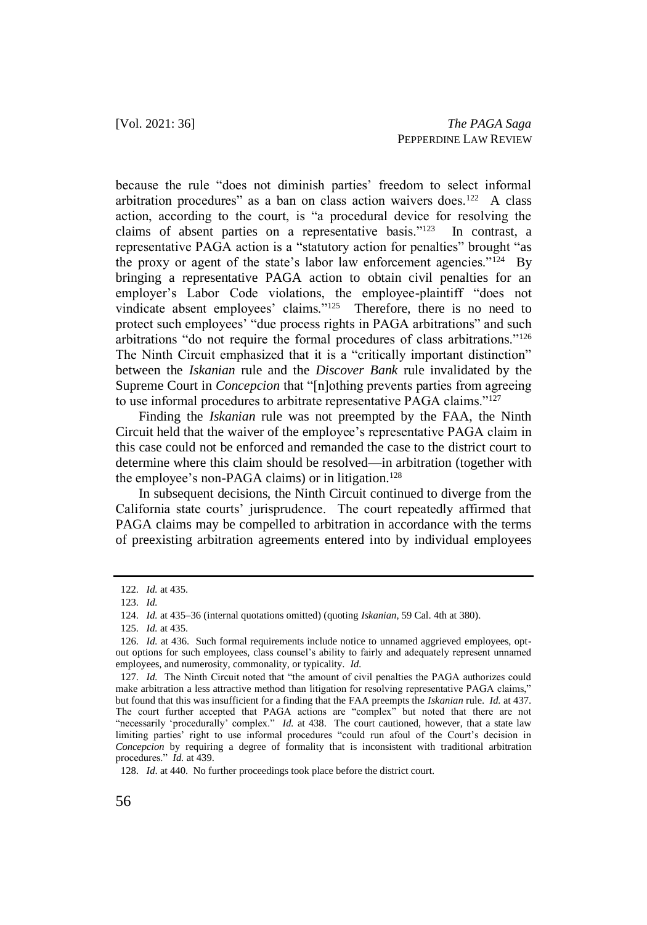because the rule "does not diminish parties' freedom to select informal arbitration procedures" as a ban on class action waivers does.<sup>122</sup> A class action, according to the court, is "a procedural device for resolving the claims of absent parties on a representative basis."<sup>123</sup> In contrast, a representative PAGA action is a "statutory action for penalties" brought "as the proxy or agent of the state's labor law enforcement agencies." $124$  By bringing a representative PAGA action to obtain civil penalties for an employer's Labor Code violations, the employee-plaintiff "does not vindicate absent employees' claims."<sup>125</sup> Therefore, there is no need to protect such employees' "due process rights in PAGA arbitrations" and such arbitrations "do not require the formal procedures of class arbitrations."<sup>126</sup> The Ninth Circuit emphasized that it is a "critically important distinction" between the *Iskanian* rule and the *Discover Bank* rule invalidated by the Supreme Court in *Concepcion* that "[n]othing prevents parties from agreeing to use informal procedures to arbitrate representative PAGA claims."<sup>127</sup>

Finding the *Iskanian* rule was not preempted by the FAA, the Ninth Circuit held that the waiver of the employee's representative PAGA claim in this case could not be enforced and remanded the case to the district court to determine where this claim should be resolved—in arbitration (together with the employee's non-PAGA claims) or in litigation.<sup>128</sup>

In subsequent decisions, the Ninth Circuit continued to diverge from the California state courts' jurisprudence. The court repeatedly affirmed that PAGA claims may be compelled to arbitration in accordance with the terms of preexisting arbitration agreements entered into by individual employees

<sup>122.</sup> *Id.* at 435.

<sup>123.</sup> *Id.*

<sup>124.</sup> *Id.* at 435–36 (internal quotations omitted) (quoting *Iskanian*, 59 Cal. 4th at 380).

<sup>125.</sup> *Id.* at 435.

<sup>126.</sup> *Id.* at 436. Such formal requirements include notice to unnamed aggrieved employees, optout options for such employees, class counsel's ability to fairly and adequately represent unnamed employees, and numerosity, commonality, or typicality. *Id.*

<sup>127.</sup> *Id.* The Ninth Circuit noted that "the amount of civil penalties the PAGA authorizes could make arbitration a less attractive method than litigation for resolving representative PAGA claims," but found that this was insufficient for a finding that the FAA preempts the *Iskanian* rule. *Id.* at 437. The court further accepted that PAGA actions are "complex" but noted that there are not "necessarily 'procedurally' complex." *Id.* at 438. The court cautioned, however, that a state law limiting parties' right to use informal procedures "could run afoul of the Court's decision in *Concepcion* by requiring a degree of formality that is inconsistent with traditional arbitration procedures." *Id.* at 439.

<sup>128.</sup> *Id*. at 440. No further proceedings took place before the district court.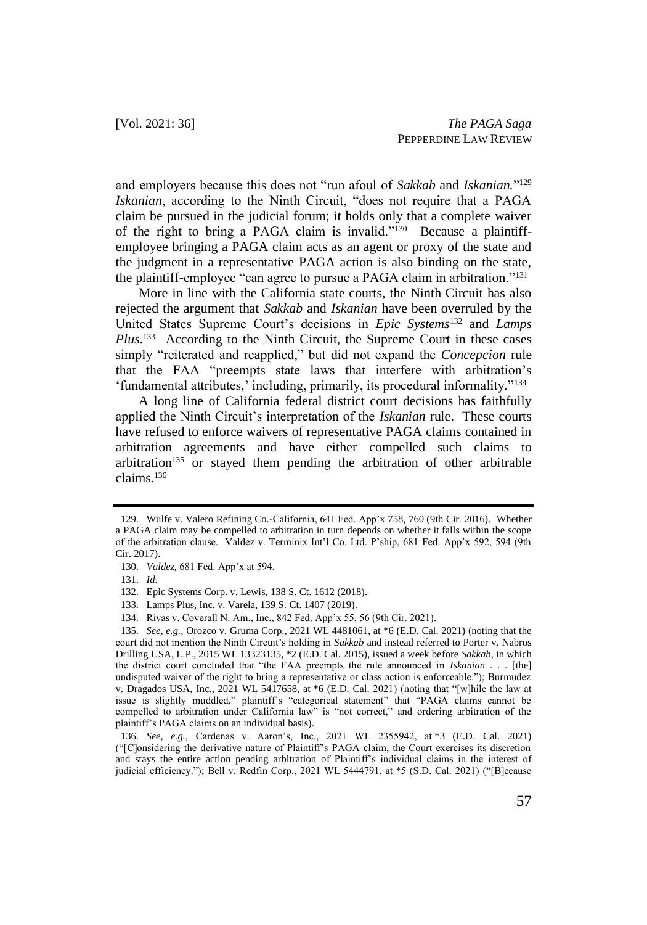and employers because this does not "run afoul of *Sakkab* and *Iskanian.*" 129 *Iskanian*, according to the Ninth Circuit, "does not require that a PAGA claim be pursued in the judicial forum; it holds only that a complete waiver of the right to bring a PAGA claim is invalid."<sup>130</sup> Because a plaintiffemployee bringing a PAGA claim acts as an agent or proxy of the state and the judgment in a representative PAGA action is also binding on the state, the plaintiff-employee "can agree to pursue a PAGA claim in arbitration."<sup>131</sup>

More in line with the California state courts, the Ninth Circuit has also rejected the argument that *Sakkab* and *Iskanian* have been overruled by the United States Supreme Court's decisions in *Epic Systems*<sup>132</sup> and *Lamps*  Plus.<sup>133</sup> According to the Ninth Circuit, the Supreme Court in these cases simply "reiterated and reapplied," but did not expand the *Concepcion* rule that the FAA "preempts state laws that interfere with arbitration's 'fundamental attributes,' including, primarily, its procedural informality."<sup>134</sup>

A long line of California federal district court decisions has faithfully applied the Ninth Circuit's interpretation of the *Iskanian* rule. These courts have refused to enforce waivers of representative PAGA claims contained in arbitration agreements and have either compelled such claims to arbitration<sup>135</sup> or stayed them pending the arbitration of other arbitrable claims.<sup>136</sup>

134. Rivas v. Coverall N. Am., Inc., 842 Fed. App'x 55, 56 (9th Cir. 2021).

<sup>129.</sup> Wulfe v. Valero Refining Co.-California, 641 Fed. App'x 758, 760 (9th Cir. 2016). Whether a PAGA claim may be compelled to arbitration in turn depends on whether it falls within the scope of the arbitration clause. Valdez v. Terminix Int'l Co. Ltd. P'ship, 681 Fed. App'x 592, 594 (9th Cir. 2017).

<sup>130.</sup> *Valdez*, 681 Fed. App'x at 594.

<sup>131.</sup> *Id*.

<sup>132.</sup> Epic Systems Corp. v. Lewis, 138 S. Ct. 1612 (2018).

<sup>133.</sup> Lamps Plus, Inc. v. Varela, 139 S. Ct. 1407 (2019).

<sup>135.</sup> *See, e.g.*, Orozco v. Gruma Corp., 2021 WL 4481061, at \*6 (E.D. Cal. 2021) (noting that the court did not mention the Ninth Circuit's holding in *Sakkab* and instead referred to Porter v. Nabros Drilling USA, L.P., 2015 WL 13323135, \*2 (E.D. Cal. 2015), issued a week before *Sakkab*, in which the district court concluded that "the FAA preempts the rule announced in *Iskanian* . . . [the] undisputed waiver of the right to bring a representative or class action is enforceable."); Burmudez v. Dragados USA, Inc., 2021 WL 5417658, at \*6 (E.D. Cal. 2021) (noting that "[w]hile the law at issue is slightly muddled," plaintiff's "categorical statement" that "PAGA claims cannot be compelled to arbitration under California law" is "not correct," and ordering arbitration of the plaintiff's PAGA claims on an individual basis).

<sup>136.</sup> *See, e.g.,* Cardenas v. Aaron's, Inc., 2021 WL 2355942, at \*3 (E.D. Cal. 2021) ("[C]onsidering the derivative nature of Plaintiff's PAGA claim, the Court exercises its discretion and stays the entire action pending arbitration of Plaintiff's individual claims in the interest of judicial efficiency."); Bell v. Redfin Corp., 2021 WL 5444791, at \*5 (S.D. Cal. 2021) ("[B]ecause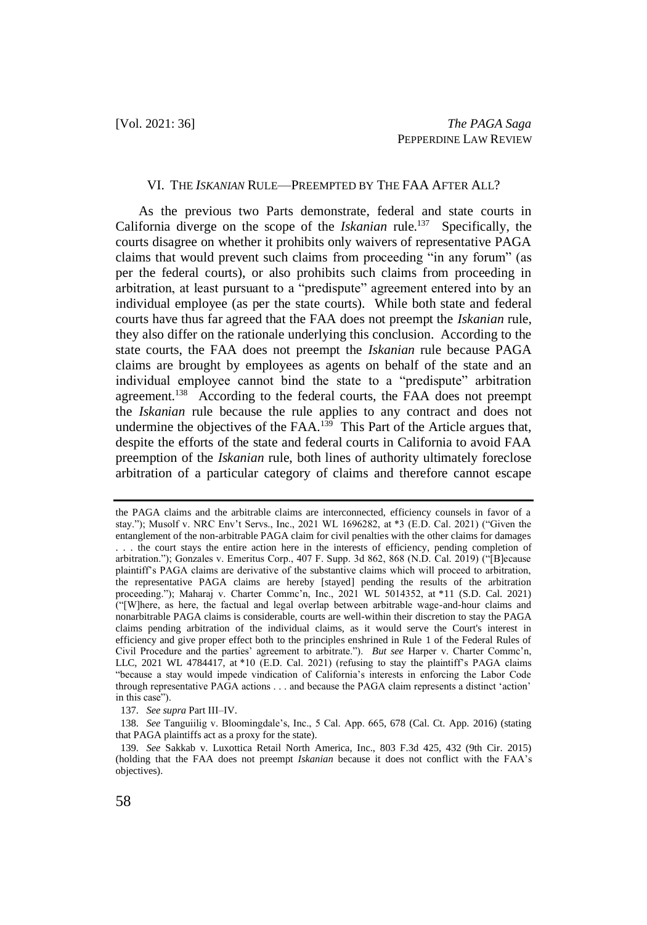#### VI. THE *ISKANIAN* RULE—PREEMPTED BY THE FAA AFTER ALL?

As the previous two Parts demonstrate, federal and state courts in California diverge on the scope of the *Iskanian* rule.<sup>137</sup> Specifically, the courts disagree on whether it prohibits only waivers of representative PAGA claims that would prevent such claims from proceeding "in any forum" (as per the federal courts), or also prohibits such claims from proceeding in arbitration, at least pursuant to a "predispute" agreement entered into by an individual employee (as per the state courts). While both state and federal courts have thus far agreed that the FAA does not preempt the *Iskanian* rule, they also differ on the rationale underlying this conclusion. According to the state courts, the FAA does not preempt the *Iskanian* rule because PAGA claims are brought by employees as agents on behalf of the state and an individual employee cannot bind the state to a "predispute" arbitration agreement.<sup>138</sup> According to the federal courts, the FAA does not preempt the *Iskanian* rule because the rule applies to any contract and does not undermine the objectives of the FAA.<sup>139</sup> This Part of the Article argues that, despite the efforts of the state and federal courts in California to avoid FAA preemption of the *Iskanian* rule, both lines of authority ultimately foreclose arbitration of a particular category of claims and therefore cannot escape

the PAGA claims and the arbitrable claims are interconnected, efficiency counsels in favor of a stay."); Musolf v. NRC Env't Servs., Inc., 2021 WL 1696282, at \*3 (E.D. Cal. 2021) ("Given the entanglement of the non-arbitrable PAGA claim for civil penalties with the other claims for damages . . . the court stays the entire action here in the interests of efficiency, pending completion of arbitration."); Gonzales v. Emeritus Corp., 407 F. Supp. 3d 862, 868 (N.D. Cal. 2019) ("[B]ecause plaintiff's PAGA claims are derivative of the substantive claims which will proceed to arbitration, the representative PAGA claims are hereby [stayed] pending the results of the arbitration proceeding."); Maharaj v. Charter Commc'n, Inc., 2021 WL 5014352, at \*11 (S.D. Cal. 2021) ("[W]here, as here, the factual and legal overlap between arbitrable wage-and-hour claims and nonarbitrable PAGA claims is considerable, courts are well-within their discretion to stay the PAGA claims pending arbitration of the individual claims, as it would serve the Court's interest in efficiency and give proper effect both to the principles enshrined in Rule 1 of the Federal Rules of Civil Procedure and the parties' agreement to arbitrate."). *But see* Harper v. Charter Commc'n, LLC, 2021 WL 4784417, at \*10 (E.D. Cal. 2021) (refusing to stay the plaintiff's PAGA claims "because a stay would impede vindication of California's interests in enforcing the Labor Code through representative PAGA actions . . . and because the PAGA claim represents a distinct 'action' in this case").

<sup>137.</sup> *See supra* Part III–IV.

<sup>138.</sup> *See* Tanguiilig v. Bloomingdale's, Inc., 5 Cal. App. 665, 678 (Cal. Ct. App. 2016) (stating that PAGA plaintiffs act as a proxy for the state).

<sup>139.</sup> *See* Sakkab v. Luxottica Retail North America, Inc., 803 F.3d 425, 432 (9th Cir. 2015) (holding that the FAA does not preempt *Iskanian* because it does not conflict with the FAA's objectives).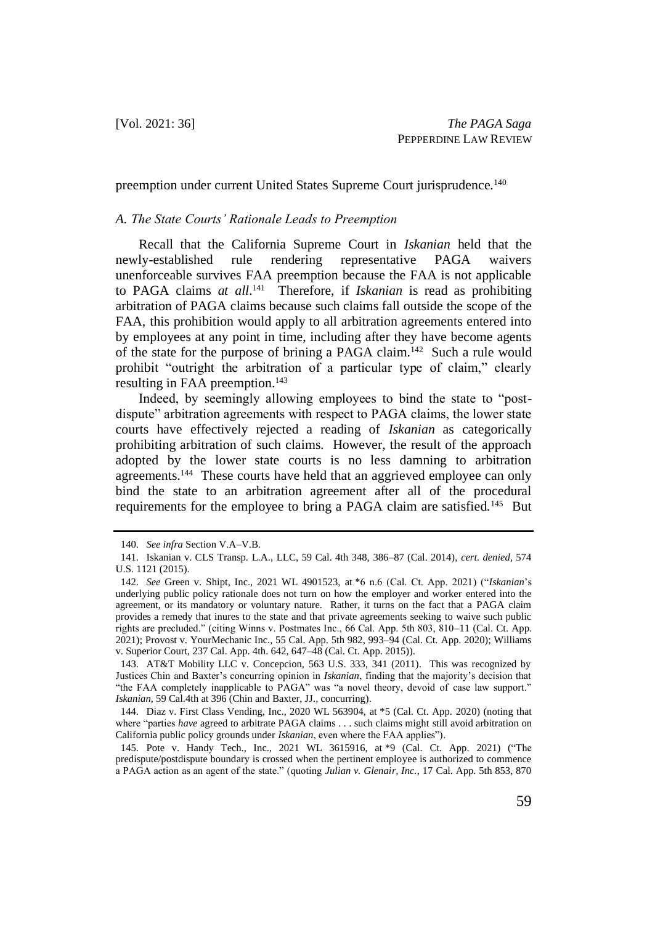preemption under current United States Supreme Court jurisprudence.<sup>140</sup>

## *A. The State Courts' Rationale Leads to Preemption*

Recall that the California Supreme Court in *Iskanian* held that the newly-established rule rendering representative PAGA waivers unenforceable survives FAA preemption because the FAA is not applicable to PAGA claims *at all*. 141 Therefore, if *Iskanian* is read as prohibiting arbitration of PAGA claims because such claims fall outside the scope of the FAA, this prohibition would apply to all arbitration agreements entered into by employees at any point in time, including after they have become agents of the state for the purpose of brining a PAGA claim.<sup>142</sup> Such a rule would prohibit "outright the arbitration of a particular type of claim," clearly resulting in FAA preemption.<sup>143</sup>

Indeed, by seemingly allowing employees to bind the state to "postdispute" arbitration agreements with respect to PAGA claims, the lower state courts have effectively rejected a reading of *Iskanian* as categorically prohibiting arbitration of such claims. However, the result of the approach adopted by the lower state courts is no less damning to arbitration agreements.<sup>144</sup> These courts have held that an aggrieved employee can only bind the state to an arbitration agreement after all of the procedural requirements for the employee to bring a PAGA claim are satisfied.<sup>145</sup> But

<sup>140.</sup> *See infra* Section V.A–V.B.

<sup>141.</sup> Iskanian v. CLS Transp. L.A., LLC, 59 Cal. 4th 348, 386–87 (Cal. 2014), *cert. denied*, 574 U.S. 1121 (2015).

<sup>142.</sup> *See* Green v. Shipt, Inc., 2021 WL 4901523, at \*6 n.6 (Cal. Ct. App. 2021) ("*Iskanian*'s underlying public policy rationale does not turn on how the employer and worker entered into the agreement, or its mandatory or voluntary nature. Rather, it turns on the fact that a PAGA claim provides a remedy that inures to the state and that private agreements seeking to waive such public rights are precluded." (citing Winns v. Postmates Inc., 66 Cal. App. 5th 803, 810–11 (Cal. Ct. App. 2021); Provost v. YourMechanic Inc., 55 Cal. App. 5th 982, 993–94 (Cal. Ct. App. 2020); Williams v. Superior Court, 237 Cal. App. 4th. 642, 647–48 (Cal. Ct. App. 2015)).

<sup>143.</sup> AT&T Mobility LLC v. Concepcion, 563 U.S. 333, 341 (2011). This was recognized by Justices Chin and Baxter's concurring opinion in *Iskanian*, finding that the majority's decision that "the FAA completely inapplicable to PAGA" was "a novel theory, devoid of case law support." *Iskanian*, 59 Cal.4th at 396 (Chin and Baxter, JJ., concurring).

<sup>144.</sup> Diaz v. First Class Vending, Inc., 2020 WL 563904, at \*5 (Cal. Ct. App. 2020) (noting that where "parties *have* agreed to arbitrate PAGA claims . . . such claims might still avoid arbitration on California public policy grounds under *Iskanian*, even where the FAA applies").

<sup>145.</sup> Pote v. Handy Tech., Inc., 2021 WL 3615916, at \*9 (Cal. Ct. App. 2021) ("The predispute/postdispute boundary is crossed when the pertinent employee is authorized to commence a PAGA action as an agent of the state." (quoting *Julian v. Glenair, Inc.*, 17 Cal. App. 5th 853, 870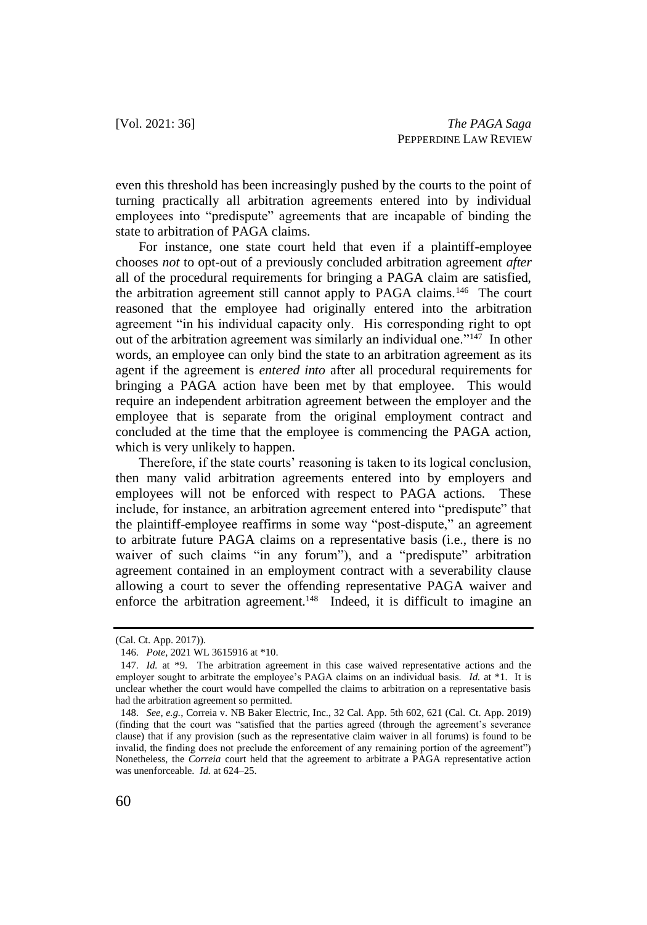even this threshold has been increasingly pushed by the courts to the point of turning practically all arbitration agreements entered into by individual employees into "predispute" agreements that are incapable of binding the state to arbitration of PAGA claims.

For instance, one state court held that even if a plaintiff-employee chooses *not* to opt-out of a previously concluded arbitration agreement *after* all of the procedural requirements for bringing a PAGA claim are satisfied, the arbitration agreement still cannot apply to PAGA claims.<sup>146</sup> The court reasoned that the employee had originally entered into the arbitration agreement "in his individual capacity only. His corresponding right to opt out of the arbitration agreement was similarly an individual one."<sup>147</sup> In other words, an employee can only bind the state to an arbitration agreement as its agent if the agreement is *entered into* after all procedural requirements for bringing a PAGA action have been met by that employee. This would require an independent arbitration agreement between the employer and the employee that is separate from the original employment contract and concluded at the time that the employee is commencing the PAGA action, which is very unlikely to happen.

Therefore, if the state courts' reasoning is taken to its logical conclusion, then many valid arbitration agreements entered into by employers and employees will not be enforced with respect to PAGA actions. These include, for instance, an arbitration agreement entered into "predispute" that the plaintiff-employee reaffirms in some way "post-dispute," an agreement to arbitrate future PAGA claims on a representative basis (i.e., there is no waiver of such claims "in any forum"), and a "predispute" arbitration agreement contained in an employment contract with a severability clause allowing a court to sever the offending representative PAGA waiver and enforce the arbitration agreement.<sup>148</sup> Indeed, it is difficult to imagine an

<sup>(</sup>Cal. Ct. App. 2017)).

<sup>146.</sup> *Pote*, 2021 WL 3615916 at \*10.

<sup>147.</sup> *Id.* at \*9. The arbitration agreement in this case waived representative actions and the employer sought to arbitrate the employee's PAGA claims on an individual basis. *Id.* at \*1. It is unclear whether the court would have compelled the claims to arbitration on a representative basis had the arbitration agreement so permitted.

<sup>148.</sup> *See, e.g.*, Correia v. NB Baker Electric, Inc., 32 Cal. App. 5th 602, 621 (Cal. Ct. App. 2019) (finding that the court was "satisfied that the parties agreed (through the agreement's severance clause) that if any provision (such as the representative claim waiver in all forums) is found to be invalid, the finding does not preclude the enforcement of any remaining portion of the agreement") Nonetheless, the *Correia* court held that the agreement to arbitrate a PAGA representative action was unenforceable. *Id.* at 624–25.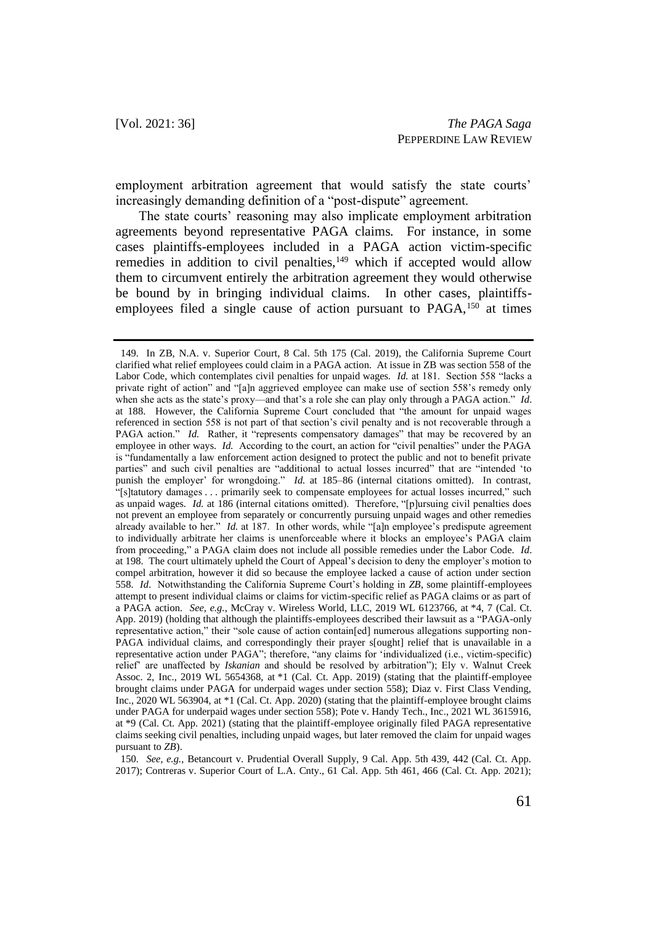employment arbitration agreement that would satisfy the state courts' increasingly demanding definition of a "post-dispute" agreement.

The state courts' reasoning may also implicate employment arbitration agreements beyond representative PAGA claims. For instance, in some cases plaintiffs-employees included in a PAGA action victim-specific remedies in addition to civil penalties,<sup>149</sup> which if accepted would allow them to circumvent entirely the arbitration agreement they would otherwise be bound by in bringing individual claims. In other cases, plaintiffsemployees filed a single cause of action pursuant to PAGA,<sup>150</sup> at times

150. *See, e.g.*, Betancourt v. Prudential Overall Supply, 9 Cal. App. 5th 439, 442 (Cal. Ct. App. 2017); Contreras v. Superior Court of L.A. Cnty., 61 Cal. App. 5th 461, 466 (Cal. Ct. App. 2021);

<sup>149.</sup> In ZB, N.A. v. Superior Court, 8 Cal. 5th 175 (Cal. 2019), the California Supreme Court clarified what relief employees could claim in a PAGA action. At issue in ZB was section 558 of the Labor Code, which contemplates civil penalties for unpaid wages. *Id.* at 181. Section 558 "lacks a private right of action" and "[a]n aggrieved employee can make use of section 558's remedy only when she acts as the state's proxy—and that's a role she can play only through a PAGA action." *Id*. at 188. However, the California Supreme Court concluded that "the amount for unpaid wages referenced in section 558 is not part of that section's civil penalty and is not recoverable through a PAGA action." *Id.* Rather, it "represents compensatory damages" that may be recovered by an employee in other ways. *Id.* According to the court, an action for "civil penalties" under the PAGA is "fundamentally a law enforcement action designed to protect the public and not to benefit private parties" and such civil penalties are "additional to actual losses incurred" that are "intended 'to punish the employer' for wrongdoing." *Id.* at 185–86 (internal citations omitted). In contrast, "[s]tatutory damages . . . primarily seek to compensate employees for actual losses incurred," such as unpaid wages. *Id.* at 186 (internal citations omitted). Therefore, "[p]ursuing civil penalties does not prevent an employee from separately or concurrently pursuing unpaid wages and other remedies already available to her." *Id.* at 187. In other words, while "[a]n employee's predispute agreement to individually arbitrate her claims is unenforceable where it blocks an employee's PAGA claim from proceeding," a PAGA claim does not include all possible remedies under the Labor Code. *Id*. at 198. The court ultimately upheld the Court of Appeal's decision to deny the employer's motion to compel arbitration, however it did so because the employee lacked a cause of action under section 558. *Id*. Notwithstanding the California Supreme Court's holding in *ZB*, some plaintiff-employees attempt to present individual claims or claims for victim-specific relief as PAGA claims or as part of a PAGA action. *See, e.g.*, McCray v. Wireless World, LLC, 2019 WL 6123766, at \*4, 7 (Cal. Ct. App. 2019) (holding that although the plaintiffs-employees described their lawsuit as a "PAGA-only representative action," their "sole cause of action contain[ed] numerous allegations supporting non-PAGA individual claims, and correspondingly their prayer s[ought] relief that is unavailable in a representative action under PAGA"; therefore, "any claims for 'individualized (i.e., victim-specific) relief' are unaffected by *Iskanian* and should be resolved by arbitration"); Ely v. Walnut Creek Assoc. 2, Inc., 2019 WL 5654368, at \*1 (Cal. Ct. App. 2019) (stating that the plaintiff-employee brought claims under PAGA for underpaid wages under section 558); Diaz v. First Class Vending, Inc., 2020 WL 563904, at \*1 (Cal. Ct. App. 2020) (stating that the plaintiff-employee brought claims under PAGA for underpaid wages under section 558); Pote v. Handy Tech., Inc., 2021 WL 3615916, at \*9 (Cal. Ct. App. 2021) (stating that the plaintiff-employee originally filed PAGA representative claims seeking civil penalties, including unpaid wages, but later removed the claim for unpaid wages pursuant to *ZB*).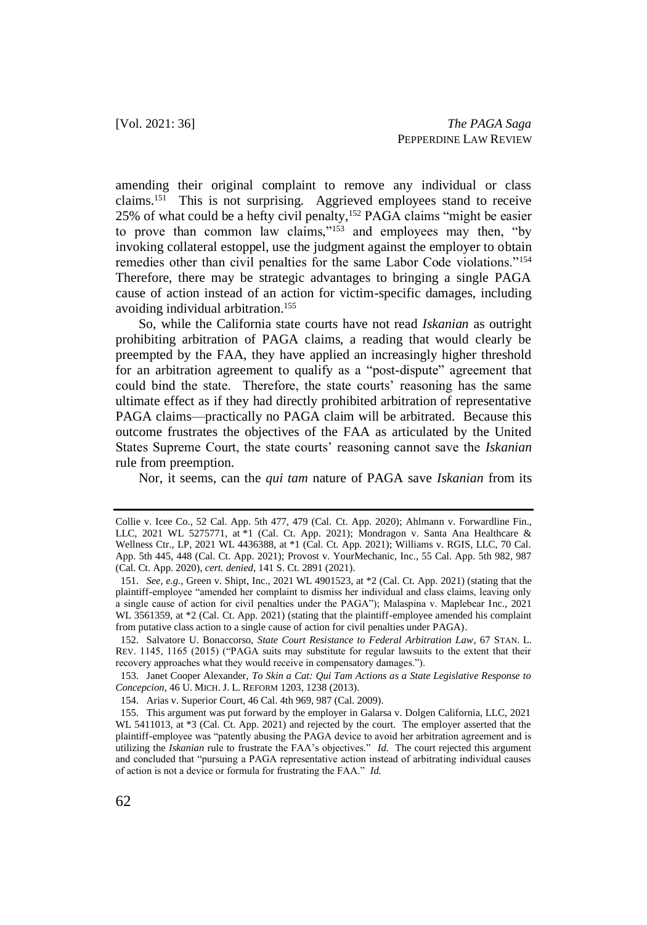amending their original complaint to remove any individual or class claims.<sup>151</sup> This is not surprising. Aggrieved employees stand to receive 25% of what could be a hefty civil penalty,<sup>152</sup> PAGA claims "might be easier to prove than common law claims,"<sup>153</sup> and employees may then, "by invoking collateral estoppel, use the judgment against the employer to obtain remedies other than civil penalties for the same Labor Code violations."<sup>154</sup> Therefore, there may be strategic advantages to bringing a single PAGA cause of action instead of an action for victim-specific damages, including avoiding individual arbitration.<sup>155</sup>

So, while the California state courts have not read *Iskanian* as outright prohibiting arbitration of PAGA claims, a reading that would clearly be preempted by the FAA, they have applied an increasingly higher threshold for an arbitration agreement to qualify as a "post-dispute" agreement that could bind the state. Therefore, the state courts' reasoning has the same ultimate effect as if they had directly prohibited arbitration of representative PAGA claims—practically no PAGA claim will be arbitrated. Because this outcome frustrates the objectives of the FAA as articulated by the United States Supreme Court, the state courts' reasoning cannot save the *Iskanian* rule from preemption.

Nor, it seems, can the *qui tam* nature of PAGA save *Iskanian* from its

152. Salvatore U. Bonaccorso, *State Court Resistance to Federal Arbitration Law*, 67 STAN. L. REV. 1145, 1165 (2015) ("PAGA suits may substitute for regular lawsuits to the extent that their recovery approaches what they would receive in compensatory damages.").

153. Janet Cooper Alexander, *To Skin a Cat: Qui Tam Actions as a State Legislative Response to Concepcion*, 46 U. MICH. J. L. REFORM 1203, 1238 (2013).

Collie v. Icee Co., 52 Cal. App. 5th 477, 479 (Cal. Ct. App. 2020); Ahlmann v. Forwardline Fin., LLC, 2021 WL 5275771, at \*1 (Cal. Ct. App. 2021); Mondragon v. Santa Ana Healthcare & Wellness Ctr., LP, 2021 WL 4436388, at \*1 (Cal. Ct. App. 2021); Williams v. RGIS, LLC, 70 Cal. App. 5th 445, 448 (Cal. Ct. App. 2021); Provost v. YourMechanic, Inc., 55 Cal. App. 5th 982, 987 (Cal. Ct. App. 2020), *cert. denied*, 141 S. Ct. 2891 (2021).

<sup>151.</sup> *See, e.g.*, Green v. Shipt, Inc., 2021 WL 4901523, at \*2 (Cal. Ct. App. 2021) (stating that the plaintiff-employee "amended her complaint to dismiss her individual and class claims, leaving only a single cause of action for civil penalties under the PAGA"); Malaspina v. Maplebear Inc., 2021 WL 3561359, at \*2 (Cal. Ct. App. 2021) (stating that the plaintiff-employee amended his complaint from putative class action to a single cause of action for civil penalties under PAGA).

<sup>154.</sup> Arias v. Superior Court, 46 Cal. 4th 969, 987 (Cal. 2009).

<sup>155.</sup> This argument was put forward by the employer in Galarsa v. Dolgen California, LLC, 2021 WL 5411013, at \*3 (Cal. Ct. App. 2021) and rejected by the court. The employer asserted that the plaintiff-employee was "patently abusing the PAGA device to avoid her arbitration agreement and is utilizing the *Iskanian* rule to frustrate the FAA's objectives." *Id.* The court rejected this argument and concluded that "pursuing a PAGA representative action instead of arbitrating individual causes of action is not a device or formula for frustrating the FAA." *Id.*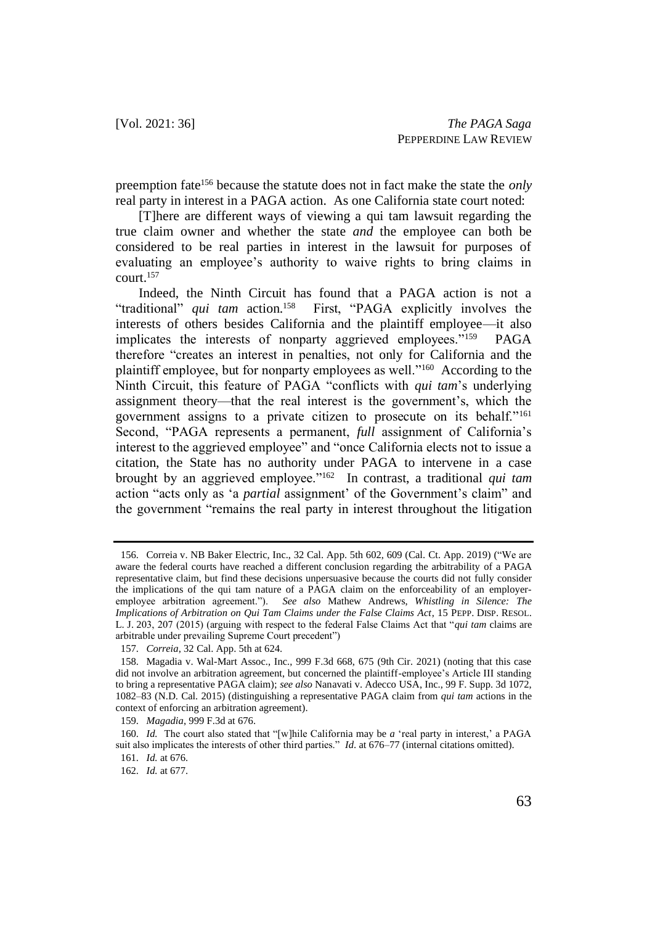preemption fate<sup>156</sup> because the statute does not in fact make the state the *only* real party in interest in a PAGA action. As one California state court noted:

[T]here are different ways of viewing a qui tam lawsuit regarding the true claim owner and whether the state *and* the employee can both be considered to be real parties in interest in the lawsuit for purposes of evaluating an employee's authority to waive rights to bring claims in court.<sup>157</sup>

Indeed, the Ninth Circuit has found that a PAGA action is not a "traditional" *qui tam* action.<sup>158</sup> First, "PAGA explicitly involves the interests of others besides California and the plaintiff employee—it also implicates the interests of nonparty aggrieved employees."<sup>159</sup> PAGA therefore "creates an interest in penalties, not only for California and the plaintiff employee, but for nonparty employees as well."<sup>160</sup> According to the Ninth Circuit, this feature of PAGA "conflicts with *qui tam*'s underlying assignment theory—that the real interest is the government's, which the government assigns to a private citizen to prosecute on its behalf."<sup>161</sup> Second, "PAGA represents a permanent, *full* assignment of California's interest to the aggrieved employee" and "once California elects not to issue a citation, the State has no authority under PAGA to intervene in a case brought by an aggrieved employee."<sup>162</sup> In contrast, a traditional *qui tam* action "acts only as 'a *partial* assignment' of the Government's claim" and the government "remains the real party in interest throughout the litigation

<sup>156.</sup> Correia v. NB Baker Electric, Inc., 32 Cal. App. 5th 602, 609 (Cal. Ct. App. 2019) ("We are aware the federal courts have reached a different conclusion regarding the arbitrability of a PAGA representative claim, but find these decisions unpersuasive because the courts did not fully consider the implications of the qui tam nature of a PAGA claim on the enforceability of an employeremployee arbitration agreement."). *See also* Mathew Andrews, *Whistling in Silence: The Implications of Arbitration on Qui Tam Claims under the False Claims Act*, 15 PEPP. DISP. RESOL. L. J. 203, 207 (2015) (arguing with respect to the federal False Claims Act that "*qui tam* claims are arbitrable under prevailing Supreme Court precedent")

<sup>157.</sup> *Correia*, 32 Cal. App. 5th at 624.

<sup>158.</sup> Magadia v. Wal-Mart Assoc., Inc., 999 F.3d 668, 675 (9th Cir. 2021) (noting that this case did not involve an arbitration agreement, but concerned the plaintiff-employee's Article III standing to bring a representative PAGA claim); *see also* Nanavati v. Adecco USA, Inc., 99 F. Supp. 3d 1072, 1082–83 (N.D. Cal. 2015) (distinguishing a representative PAGA claim from *qui tam* actions in the context of enforcing an arbitration agreement).

<sup>159.</sup> *Magadia*, 999 F.3d at 676.

<sup>160.</sup> *Id.* The court also stated that "[w]hile California may be *a* 'real party in interest,' a PAGA suit also implicates the interests of other third parties." *Id*. at 676–77 (internal citations omitted).

<sup>161.</sup> *Id.* at 676.

<sup>162.</sup> *Id.* at 677.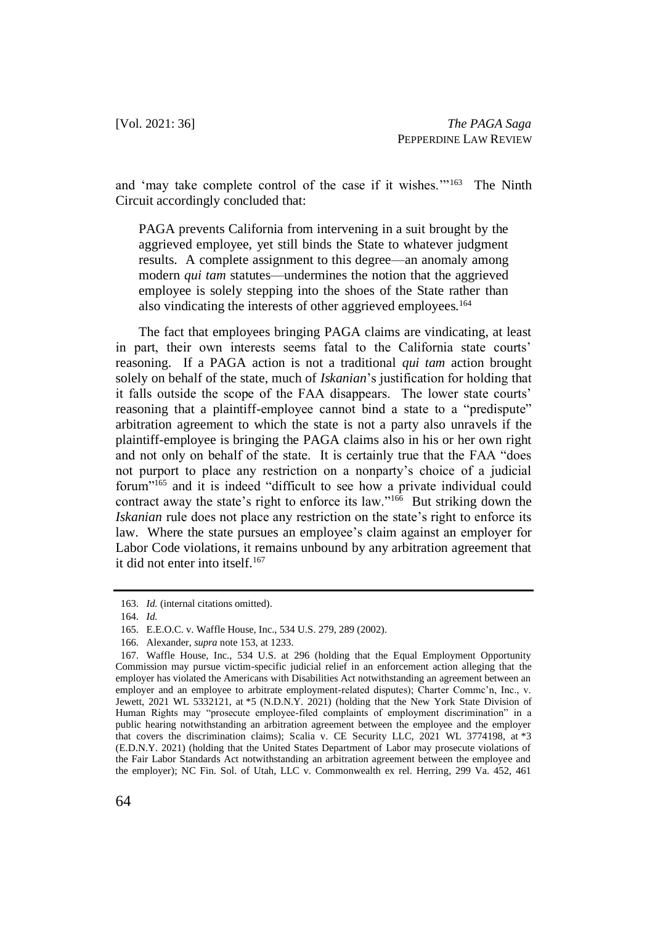and 'may take complete control of the case if it wishes."<sup>163</sup> The Ninth Circuit accordingly concluded that:

PAGA prevents California from intervening in a suit brought by the aggrieved employee, yet still binds the State to whatever judgment results. A complete assignment to this degree—an anomaly among modern *qui tam* statutes—undermines the notion that the aggrieved employee is solely stepping into the shoes of the State rather than also vindicating the interests of other aggrieved employees.<sup>164</sup>

The fact that employees bringing PAGA claims are vindicating, at least in part, their own interests seems fatal to the California state courts' reasoning. If a PAGA action is not a traditional *qui tam* action brought solely on behalf of the state, much of *Iskanian*'s justification for holding that it falls outside the scope of the FAA disappears. The lower state courts' reasoning that a plaintiff-employee cannot bind a state to a "predispute" arbitration agreement to which the state is not a party also unravels if the plaintiff-employee is bringing the PAGA claims also in his or her own right and not only on behalf of the state. It is certainly true that the FAA "does not purport to place any restriction on a nonparty's choice of a judicial forum"<sup>165</sup> and it is indeed "difficult to see how a private individual could contract away the state's right to enforce its law."<sup>166</sup> But striking down the *Iskanian* rule does not place any restriction on the state's right to enforce its law. Where the state pursues an employee's claim against an employer for Labor Code violations, it remains unbound by any arbitration agreement that it did not enter into itself.<sup>167</sup>

<sup>163.</sup> *Id.* (internal citations omitted).

<sup>164.</sup> *Id.*

<sup>165.</sup> E.E.O.C. v. Waffle House, Inc., 534 U.S. 279, 289 (2002).

<sup>166.</sup> Alexander, *supra* note 153, at 1233.

<sup>167.</sup> Waffle House, Inc., 534 U.S. at 296 (holding that the Equal Employment Opportunity Commission may pursue victim-specific judicial relief in an enforcement action alleging that the employer has violated the Americans with Disabilities Act notwithstanding an agreement between an employer and an employee to arbitrate employment-related disputes); Charter Commc'n, Inc., v. Jewett, 2021 WL 5332121, at \*5 (N.D.N.Y. 2021) (holding that the New York State Division of Human Rights may "prosecute employee-filed complaints of employment discrimination" in a public hearing notwithstanding an arbitration agreement between the employee and the employer that covers the discrimination claims); Scalia v. CE Security LLC, 2021 WL 3774198, at \*3 (E.D.N.Y. 2021) (holding that the United States Department of Labor may prosecute violations of the Fair Labor Standards Act notwithstanding an arbitration agreement between the employee and the employer); NC Fin. Sol. of Utah, LLC v. Commonwealth ex rel. Herring, 299 Va. 452, 461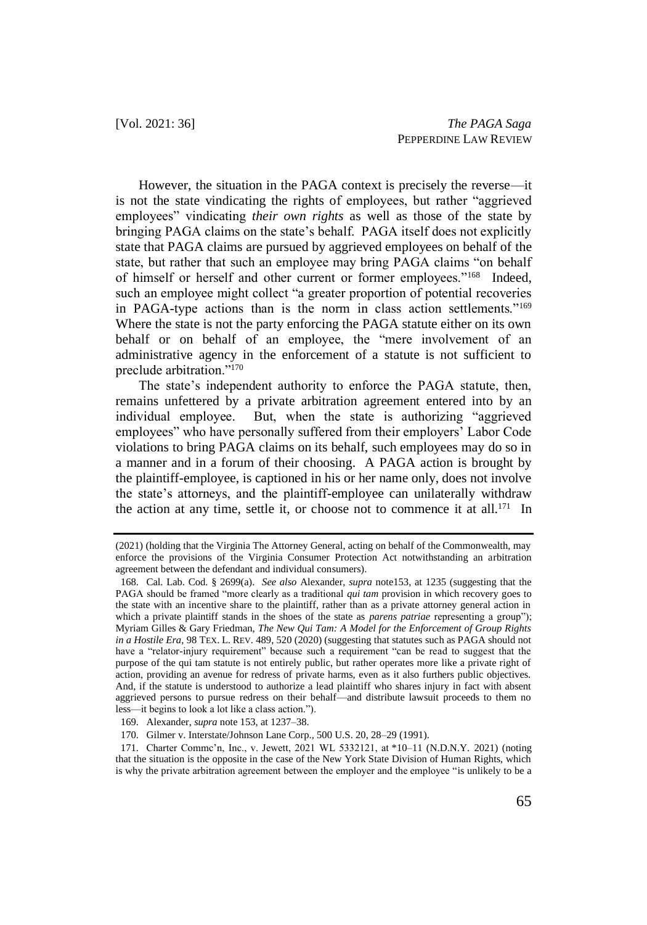However, the situation in the PAGA context is precisely the reverse—it is not the state vindicating the rights of employees, but rather "aggrieved employees" vindicating *their own rights* as well as those of the state by bringing PAGA claims on the state's behalf. PAGA itself does not explicitly state that PAGA claims are pursued by aggrieved employees on behalf of the state, but rather that such an employee may bring PAGA claims "on behalf of himself or herself and other current or former employees."<sup>168</sup> Indeed, such an employee might collect "a greater proportion of potential recoveries in PAGA-type actions than is the norm in class action settlements."<sup>169</sup> Where the state is not the party enforcing the PAGA statute either on its own behalf or on behalf of an employee, the "mere involvement of an administrative agency in the enforcement of a statute is not sufficient to preclude arbitration."<sup>170</sup>

The state's independent authority to enforce the PAGA statute, then, remains unfettered by a private arbitration agreement entered into by an individual employee. But, when the state is authorizing "aggrieved employees" who have personally suffered from their employers' Labor Code violations to bring PAGA claims on its behalf, such employees may do so in a manner and in a forum of their choosing. A PAGA action is brought by the plaintiff-employee, is captioned in his or her name only, does not involve the state's attorneys, and the plaintiff-employee can unilaterally withdraw the action at any time, settle it, or choose not to commence it at all.<sup>171</sup> In

<sup>(2021) (</sup>holding that the Virginia The Attorney General, acting on behalf of the Commonwealth, may enforce the provisions of the Virginia Consumer Protection Act notwithstanding an arbitration agreement between the defendant and individual consumers).

<sup>168.</sup> Cal. Lab. Cod. § 2699(a). *See also* Alexander, *supra* note153, at 1235 (suggesting that the PAGA should be framed "more clearly as a traditional *qui tam* provision in which recovery goes to the state with an incentive share to the plaintiff, rather than as a private attorney general action in which a private plaintiff stands in the shoes of the state as *parens patriae* representing a group"); Myriam Gilles & Gary Friedman, *The New Qui Tam: A Model for the Enforcement of Group Rights in a Hostile Era*, 98 TEX. L. REV. 489, 520 (2020) (suggesting that statutes such as PAGA should not have a "relator-injury requirement" because such a requirement "can be read to suggest that the purpose of the qui tam statute is not entirely public, but rather operates more like a private right of action, providing an avenue for redress of private harms, even as it also furthers public objectives. And, if the statute is understood to authorize a lead plaintiff who shares injury in fact with absent aggrieved persons to pursue redress on their behalf—and distribute lawsuit proceeds to them no less—it begins to look a lot like a class action.").

<sup>169.</sup> Alexander, *supra* note 153, at 1237–38.

<sup>170.</sup> Gilmer v. Interstate/Johnson Lane Corp., 500 U.S. 20, 28–29 (1991).

<sup>171.</sup> Charter Commc'n, Inc., v. Jewett, 2021 WL 5332121, at \*10–11 (N.D.N.Y. 2021) (noting that the situation is the opposite in the case of the New York State Division of Human Rights, which is why the private arbitration agreement between the employer and the employee "is unlikely to be a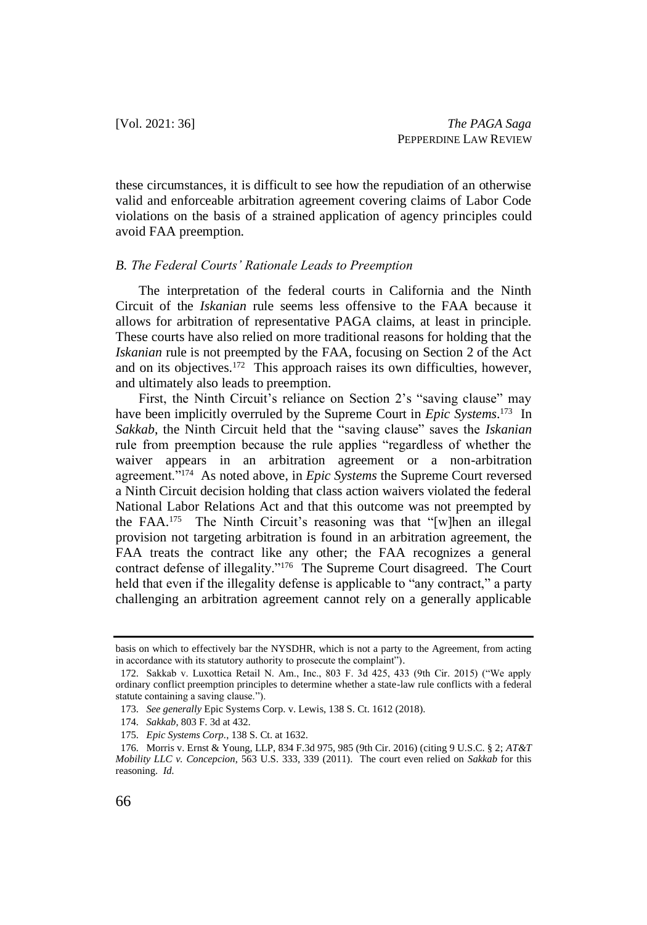these circumstances, it is difficult to see how the repudiation of an otherwise valid and enforceable arbitration agreement covering claims of Labor Code violations on the basis of a strained application of agency principles could avoid FAA preemption.

### *B. The Federal Courts' Rationale Leads to Preemption*

The interpretation of the federal courts in California and the Ninth Circuit of the *Iskanian* rule seems less offensive to the FAA because it allows for arbitration of representative PAGA claims, at least in principle. These courts have also relied on more traditional reasons for holding that the *Iskanian* rule is not preempted by the FAA, focusing on Section 2 of the Act and on its objectives.<sup>172</sup> This approach raises its own difficulties, however, and ultimately also leads to preemption.

First, the Ninth Circuit's reliance on Section 2's "saving clause" may have been implicitly overruled by the Supreme Court in *Epic Systems*. 173 In *Sakkab*, the Ninth Circuit held that the "saving clause" saves the *Iskanian* rule from preemption because the rule applies "regardless of whether the waiver appears in an arbitration agreement or a non-arbitration agreement."<sup>174</sup> As noted above, in *Epic Systems* the Supreme Court reversed a Ninth Circuit decision holding that class action waivers violated the federal National Labor Relations Act and that this outcome was not preempted by the FAA.<sup>175</sup> The Ninth Circuit's reasoning was that "[w]hen an illegal provision not targeting arbitration is found in an arbitration agreement, the FAA treats the contract like any other; the FAA recognizes a general contract defense of illegality."<sup>176</sup> The Supreme Court disagreed. The Court held that even if the illegality defense is applicable to "any contract," a party challenging an arbitration agreement cannot rely on a generally applicable

basis on which to effectively bar the NYSDHR, which is not a party to the Agreement, from acting in accordance with its statutory authority to prosecute the complaint").

<sup>172.</sup> Sakkab v. Luxottica Retail N. Am., Inc., 803 F. 3d 425, 433 (9th Cir. 2015) ("We apply ordinary conflict preemption principles to determine whether a state-law rule conflicts with a federal statute containing a saving clause.").

<sup>173.</sup> *See generally* Epic Systems Corp. v. Lewis, 138 S. Ct. 1612 (2018).

<sup>174.</sup> *Sakkab*, 803 F. 3d at 432.

<sup>175.</sup> *Epic Systems Corp.*, 138 S. Ct. at 1632.

<sup>176.</sup> Morris v. Ernst & Young, LLP, 834 F.3d 975, 985 (9th Cir. 2016) (citing 9 U.S.C. § 2; *AT&T Mobility LLC v. Concepcion*, 563 U.S. 333, 339 (2011). The court even relied on *Sakkab* for this reasoning. *Id.*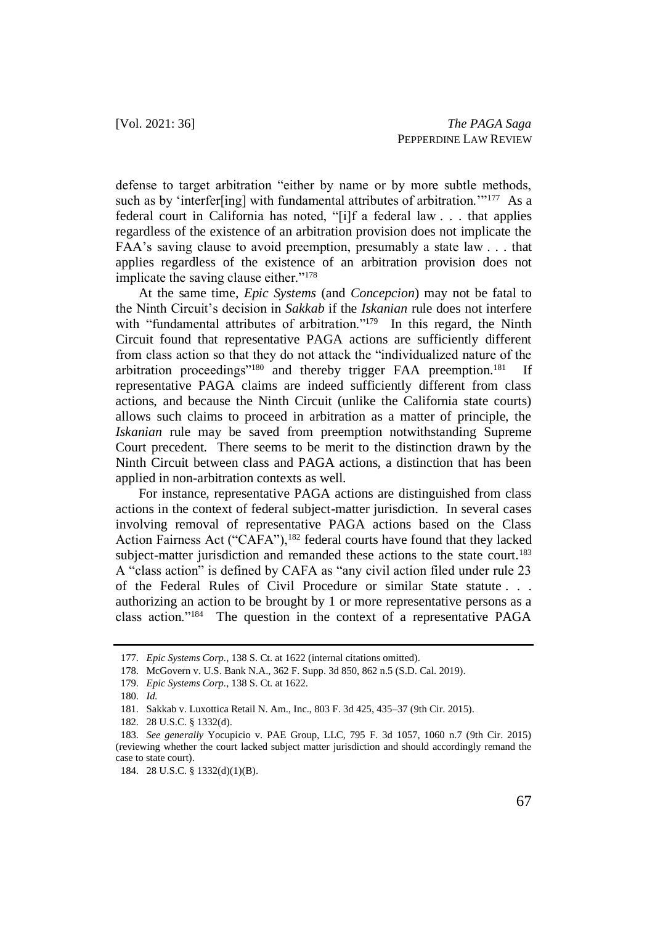defense to target arbitration "either by name or by more subtle methods, such as by 'interfer[ing] with fundamental attributes of arbitration."<sup>177</sup> As a federal court in California has noted, "[i]f a federal law . . . that applies regardless of the existence of an arbitration provision does not implicate the FAA's saving clause to avoid preemption, presumably a state law . . . that applies regardless of the existence of an arbitration provision does not implicate the saving clause either."<sup>178</sup>

At the same time, *Epic Systems* (and *Concepcion*) may not be fatal to the Ninth Circuit's decision in *Sakkab* if the *Iskanian* rule does not interfere with "fundamental attributes of arbitration."<sup>179</sup> In this regard, the Ninth Circuit found that representative PAGA actions are sufficiently different from class action so that they do not attack the "individualized nature of the arbitration proceedings"<sup>180</sup> and thereby trigger FAA preemption.<sup>181</sup> If representative PAGA claims are indeed sufficiently different from class actions, and because the Ninth Circuit (unlike the California state courts) allows such claims to proceed in arbitration as a matter of principle, the *Iskanian* rule may be saved from preemption notwithstanding Supreme Court precedent. There seems to be merit to the distinction drawn by the Ninth Circuit between class and PAGA actions, a distinction that has been applied in non-arbitration contexts as well.

For instance, representative PAGA actions are distinguished from class actions in the context of federal subject-matter jurisdiction. In several cases involving removal of representative PAGA actions based on the Class Action Fairness Act ("CAFA"),<sup>182</sup> federal courts have found that they lacked subject-matter jurisdiction and remanded these actions to the state court.<sup>183</sup> A "class action" is defined by CAFA as "any civil action filed under rule 23 of the Federal Rules of Civil Procedure or similar State statute . . . authorizing an action to be brought by 1 or more representative persons as a class action."<sup>184</sup> The question in the context of a representative PAGA

<sup>177.</sup> *Epic Systems Corp.*, 138 S. Ct. at 1622 (internal citations omitted).

<sup>178.</sup> McGovern v. U.S. Bank N.A., 362 F. Supp. 3d 850, 862 n.5 (S.D. Cal. 2019).

<sup>179.</sup> *Epic Systems Corp.*, 138 S. Ct. at 1622.

<sup>180.</sup> *Id.*

<sup>181.</sup> Sakkab v. Luxottica Retail N. Am., Inc., 803 F. 3d 425, 435–37 (9th Cir. 2015).

<sup>182.</sup> 28 U.S.C. § 1332(d).

<sup>183.</sup> *See generally* Yocupicio v. PAE Group, LLC, 795 F. 3d 1057, 1060 n.7 (9th Cir. 2015) (reviewing whether the court lacked subject matter jurisdiction and should accordingly remand the case to state court).

<sup>184.</sup> 28 U.S.C. § 1332(d)(1)(B).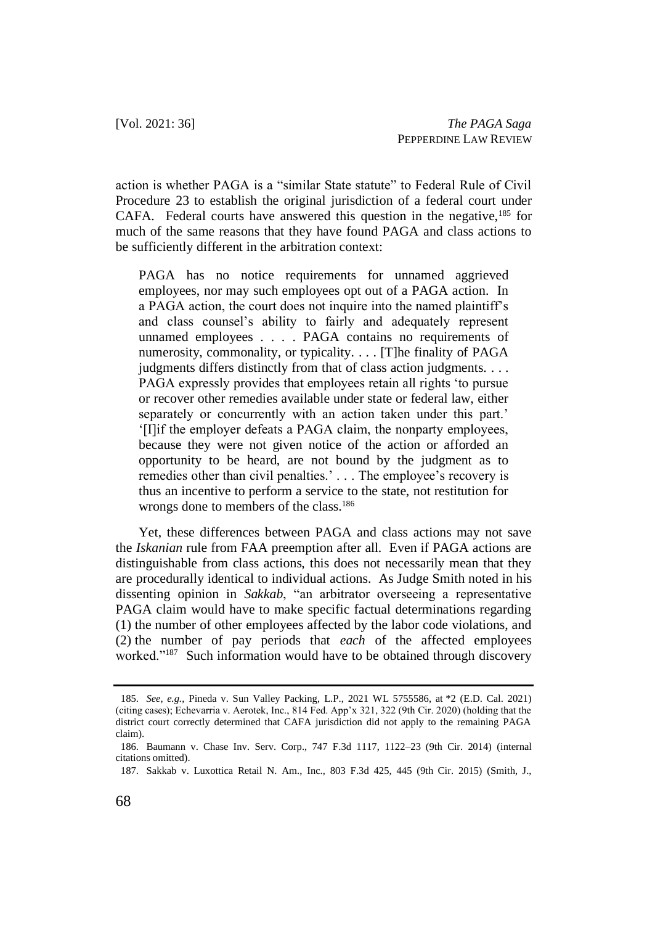action is whether PAGA is a "similar State statute" to Federal Rule of Civil Procedure 23 to establish the original jurisdiction of a federal court under CAFA. Federal courts have answered this question in the negative,  $185$  for much of the same reasons that they have found PAGA and class actions to be sufficiently different in the arbitration context:

PAGA has no notice requirements for unnamed aggrieved employees, nor may such employees opt out of a PAGA action. In a PAGA action, the court does not inquire into the named plaintiff's and class counsel's ability to fairly and adequately represent unnamed employees . . . . PAGA contains no requirements of numerosity, commonality, or typicality. . . . [T]he finality of PAGA judgments differs distinctly from that of class action judgments. . . . PAGA expressly provides that employees retain all rights 'to pursue or recover other remedies available under state or federal law, either separately or concurrently with an action taken under this part.' '[I]if the employer defeats a PAGA claim, the nonparty employees, because they were not given notice of the action or afforded an opportunity to be heard, are not bound by the judgment as to remedies other than civil penalties.'... The employee's recovery is thus an incentive to perform a service to the state, not restitution for wrongs done to members of the class.<sup>186</sup>

Yet, these differences between PAGA and class actions may not save the *Iskanian* rule from FAA preemption after all. Even if PAGA actions are distinguishable from class actions, this does not necessarily mean that they are procedurally identical to individual actions. As Judge Smith noted in his dissenting opinion in *Sakkab*, "an arbitrator overseeing a representative PAGA claim would have to make specific factual determinations regarding (1) the number of other employees affected by the labor code violations, and (2) the number of pay periods that *each* of the affected employees worked."<sup>187</sup> Such information would have to be obtained through discovery

<sup>185.</sup> *See, e.g.*, Pineda v. Sun Valley Packing, L.P., 2021 WL 5755586, at \*2 (E.D. Cal. 2021) (citing cases); Echevarria v. Aerotek, Inc., 814 Fed. App'x 321, 322 (9th Cir. 2020) (holding that the district court correctly determined that CAFA jurisdiction did not apply to the remaining PAGA claim).

<sup>186.</sup> Baumann v. Chase Inv. Serv. Corp., 747 F.3d 1117, 1122–23 (9th Cir. 2014) (internal citations omitted).

<sup>187.</sup> Sakkab v. Luxottica Retail N. Am., Inc., 803 F.3d 425, 445 (9th Cir. 2015) (Smith, J.,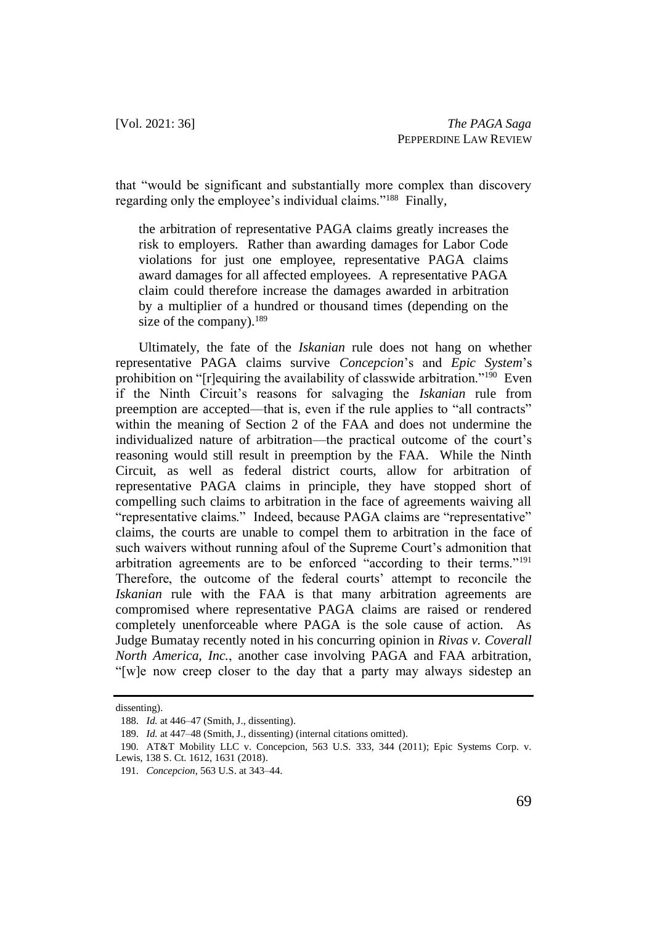that "would be significant and substantially more complex than discovery regarding only the employee's individual claims."<sup>188</sup> Finally,

the arbitration of representative PAGA claims greatly increases the risk to employers. Rather than awarding damages for Labor Code violations for just one employee, representative PAGA claims award damages for all affected employees. A representative PAGA claim could therefore increase the damages awarded in arbitration by a multiplier of a hundred or thousand times (depending on the size of the company).<sup>189</sup>

Ultimately, the fate of the *Iskanian* rule does not hang on whether representative PAGA claims survive *Concepcion*'s and *Epic System*'s prohibition on "[r]equiring the availability of classwide arbitration."<sup>190</sup> Even if the Ninth Circuit's reasons for salvaging the *Iskanian* rule from preemption are accepted—that is, even if the rule applies to "all contracts" within the meaning of Section 2 of the FAA and does not undermine the individualized nature of arbitration—the practical outcome of the court's reasoning would still result in preemption by the FAA. While the Ninth Circuit, as well as federal district courts, allow for arbitration of representative PAGA claims in principle, they have stopped short of compelling such claims to arbitration in the face of agreements waiving all "representative claims." Indeed, because PAGA claims are "representative" claims, the courts are unable to compel them to arbitration in the face of such waivers without running afoul of the Supreme Court's admonition that arbitration agreements are to be enforced "according to their terms."<sup>191</sup> Therefore, the outcome of the federal courts' attempt to reconcile the *Iskanian* rule with the FAA is that many arbitration agreements are compromised where representative PAGA claims are raised or rendered completely unenforceable where PAGA is the sole cause of action. As Judge Bumatay recently noted in his concurring opinion in *Rivas v. Coverall North America, Inc.*, another case involving PAGA and FAA arbitration, "[w]e now creep closer to the day that a party may always sidestep an

dissenting).

<sup>188.</sup> *Id.* at 446–47 (Smith, J., dissenting).

<sup>189.</sup> *Id.* at 447–48 (Smith, J., dissenting) (internal citations omitted).

<sup>190.</sup> AT&T Mobility LLC v. Concepcion, 563 U.S. 333, 344 (2011); Epic Systems Corp. v. Lewis, 138 S. Ct. 1612, 1631 (2018).

<sup>191.</sup> *Concepcion*, 563 U.S. at 343–44.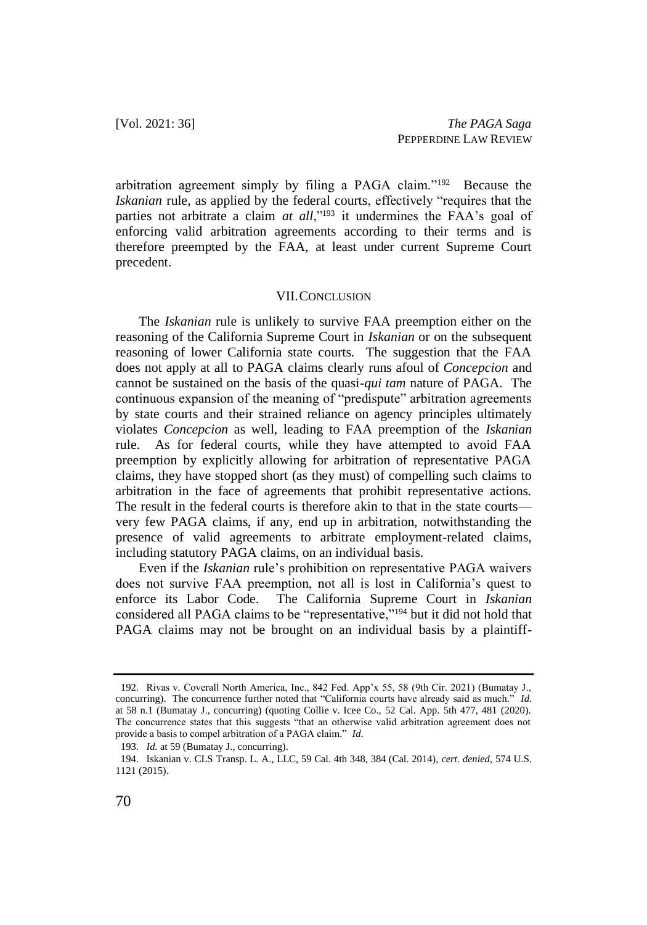arbitration agreement simply by filing a PAGA claim."<sup>192</sup> Because the *Iskanian* rule, as applied by the federal courts, effectively "requires that the parties not arbitrate a claim *at all*,"<sup>193</sup> it undermines the FAA's goal of enforcing valid arbitration agreements according to their terms and is therefore preempted by the FAA, at least under current Supreme Court precedent.

#### VII.CONCLUSION

The *Iskanian* rule is unlikely to survive FAA preemption either on the reasoning of the California Supreme Court in *Iskanian* or on the subsequent reasoning of lower California state courts. The suggestion that the FAA does not apply at all to PAGA claims clearly runs afoul of *Concepcion* and cannot be sustained on the basis of the quasi-*qui tam* nature of PAGA. The continuous expansion of the meaning of "predispute" arbitration agreements by state courts and their strained reliance on agency principles ultimately violates *Concepcion* as well, leading to FAA preemption of the *Iskanian* rule. As for federal courts, while they have attempted to avoid FAA preemption by explicitly allowing for arbitration of representative PAGA claims, they have stopped short (as they must) of compelling such claims to arbitration in the face of agreements that prohibit representative actions. The result in the federal courts is therefore akin to that in the state courts very few PAGA claims, if any, end up in arbitration, notwithstanding the presence of valid agreements to arbitrate employment-related claims, including statutory PAGA claims, on an individual basis.

Even if the *Iskanian* rule's prohibition on representative PAGA waivers does not survive FAA preemption, not all is lost in California's quest to enforce its Labor Code. The California Supreme Court in *Iskanian* considered all PAGA claims to be "representative,"<sup>194</sup> but it did not hold that PAGA claims may not be brought on an individual basis by a plaintiff-

<sup>192.</sup> Rivas v. Coverall North America, Inc., 842 Fed. App'x 55, 58 (9th Cir. 2021) (Bumatay J., concurring). The concurrence further noted that "California courts have already said as much." *Id.*  at 58 n.1 (Bumatay J., concurring) (quoting Collie v. Icee Co., 52 Cal. App. 5th 477, 481 (2020). The concurrence states that this suggests "that an otherwise valid arbitration agreement does not provide a basis to compel arbitration of a PAGA claim." *Id*.

<sup>193.</sup> *Id.* at 59 (Bumatay J., concurring).

<sup>194.</sup> Iskanian v. CLS Transp. L. A., LLC, 59 Cal. 4th 348, 384 (Cal. 2014), *cert. denied*, 574 U.S. 1121 (2015).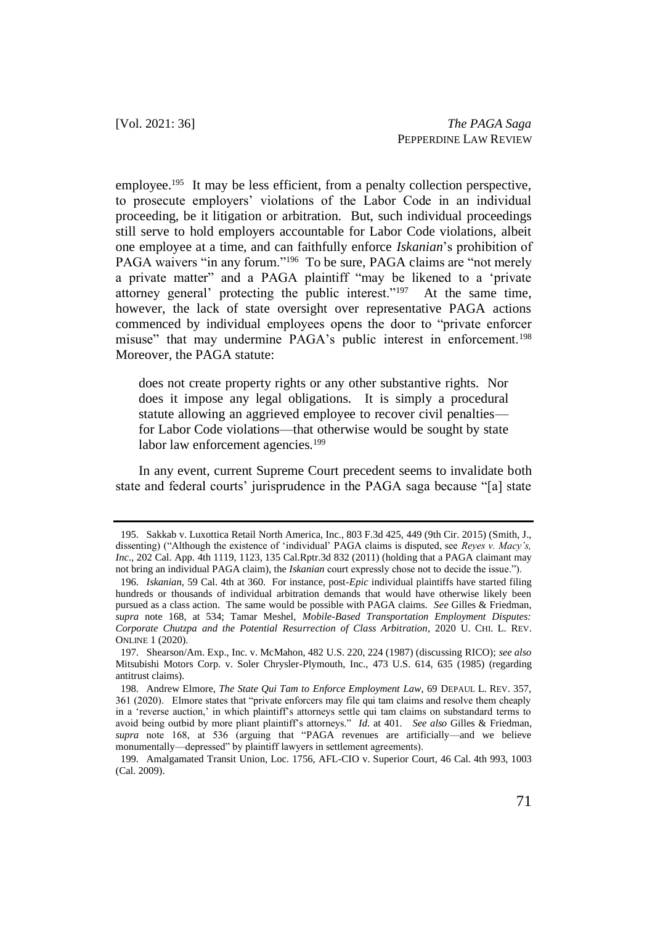employee.<sup>195</sup> It may be less efficient, from a penalty collection perspective, to prosecute employers' violations of the Labor Code in an individual proceeding, be it litigation or arbitration. But, such individual proceedings still serve to hold employers accountable for Labor Code violations, albeit one employee at a time, and can faithfully enforce *Iskanian*'s prohibition of PAGA waivers "in any forum."<sup>196</sup> To be sure, PAGA claims are "not merely a private matter" and a PAGA plaintiff "may be likened to a 'private attorney general' protecting the public interest."<sup>197</sup> At the same time, however, the lack of state oversight over representative PAGA actions commenced by individual employees opens the door to "private enforcer misuse" that may undermine PAGA's public interest in enforcement.<sup>198</sup> Moreover, the PAGA statute:

does not create property rights or any other substantive rights. Nor does it impose any legal obligations. It is simply a procedural statute allowing an aggrieved employee to recover civil penalties for Labor Code violations—that otherwise would be sought by state labor law enforcement agencies.<sup>199</sup>

In any event, current Supreme Court precedent seems to invalidate both state and federal courts' jurisprudence in the PAGA saga because "[a] state

<sup>195.</sup> Sakkab v. Luxottica Retail North America, Inc., 803 F.3d 425, 449 (9th Cir. 2015) (Smith, J., dissenting) ("Although the existence of 'individual' PAGA claims is disputed, see *Reyes v. Macy's, Inc*., 202 Cal. App. 4th 1119, 1123, 135 Cal.Rptr.3d 832 (2011) (holding that a PAGA claimant may not bring an individual PAGA claim), the *Iskanian* court expressly chose not to decide the issue.").

<sup>196.</sup> *Iskanian*, 59 Cal. 4th at 360. For instance, post-*Epic* individual plaintiffs have started filing hundreds or thousands of individual arbitration demands that would have otherwise likely been pursued as a class action. The same would be possible with PAGA claims. *See* Gilles & Friedman, *supra* note 168, at 534; Tamar Meshel, *Mobile-Based Transportation Employment Disputes: Corporate Chutzpa and the Potential Resurrection of Class Arbitration*, 2020 U. CHI. L. REV. ONLINE 1 (2020).

<sup>197.</sup> Shearson/Am. Exp., Inc. v. McMahon, 482 U.S. 220, 224 (1987) (discussing RICO); *see also*  Mitsubishi Motors Corp. v. Soler Chrysler-Plymouth, Inc., 473 U.S. 614, 635 (1985) (regarding antitrust claims).

<sup>198.</sup> Andrew Elmore, *The State Qui Tam to Enforce Employment Law*, 69 DEPAUL L. REV. 357, 361 (2020). Elmore states that "private enforcers may file qui tam claims and resolve them cheaply in a 'reverse auction,' in which plaintiff's attorneys settle qui tam claims on substandard terms to avoid being outbid by more pliant plaintiff's attorneys." *Id*. at 401. *See also* Gilles & Friedman, *supra* note 168, at 536 (arguing that "PAGA revenues are artificially—and we believe monumentally—depressed" by plaintiff lawyers in settlement agreements).

<sup>199.</sup> Amalgamated Transit Union, Loc. 1756, AFL-CIO v. Superior Court, 46 Cal. 4th 993, 1003 (Cal. 2009).